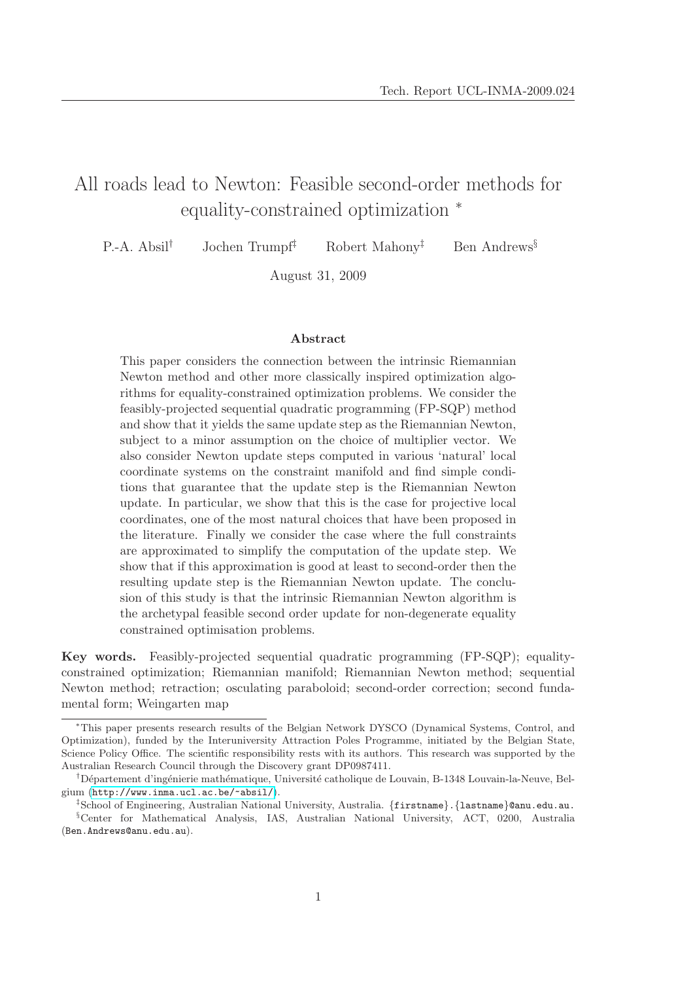# All roads lead to Newton: Feasible second-order methods for equality-constrained optimization <sup>∗</sup>

P.-A. Absil<sup>†</sup> Jochen Trumpf<sup>‡</sup> Robert Mahony<sup>‡</sup> Ben Andrews<sup>§</sup>

August 31, 2009

Abstract

This paper considers the connection between the intrinsic Riemannian Newton method and other more classically inspired optimization algorithms for equality-constrained optimization problems. We consider the feasibly-projected sequential quadratic programming (FP-SQP) method and show that it yields the same update step as the Riemannian Newton, subject to a minor assumption on the choice of multiplier vector. We also consider Newton update steps computed in various 'natural' local coordinate systems on the constraint manifold and find simple conditions that guarantee that the update step is the Riemannian Newton update. In particular, we show that this is the case for projective local coordinates, one of the most natural choices that have been proposed in the literature. Finally we consider the case where the full constraints are approximated to simplify the computation of the update step. We show that if this approximation is good at least to second-order then the resulting update step is the Riemannian Newton update. The conclusion of this study is that the intrinsic Riemannian Newton algorithm is the archetypal feasible second order update for non-degenerate equality constrained optimisation problems.

Key words. Feasibly-projected sequential quadratic programming (FP-SQP); equalityconstrained optimization; Riemannian manifold; Riemannian Newton method; sequential Newton method; retraction; osculating paraboloid; second-order correction; second fundamental form; Weingarten map

<sup>∗</sup>This paper presents research results of the Belgian Network DYSCO (Dynamical Systems, Control, and Optimization), funded by the Interuniversity Attraction Poles Programme, initiated by the Belgian State, Science Policy Office. The scientific responsibility rests with its authors. This research was supported by the Australian Research Council through the Discovery grant DP0987411.

<sup>&</sup>lt;sup>†</sup>Département d'ingénierie mathématique, Université catholique de Louvain, B-1348 Louvain-la-Neuve, Belgium (<http://www.inma.ucl.ac.be/~absil/>).

<sup>‡</sup>School of Engineering, Australian National University, Australia. {firstname}.{lastname}@anu.edu.au. §Center for Mathematical Analysis, IAS, Australian National University, ACT, 0200, Australia (Ben.Andrews@anu.edu.au).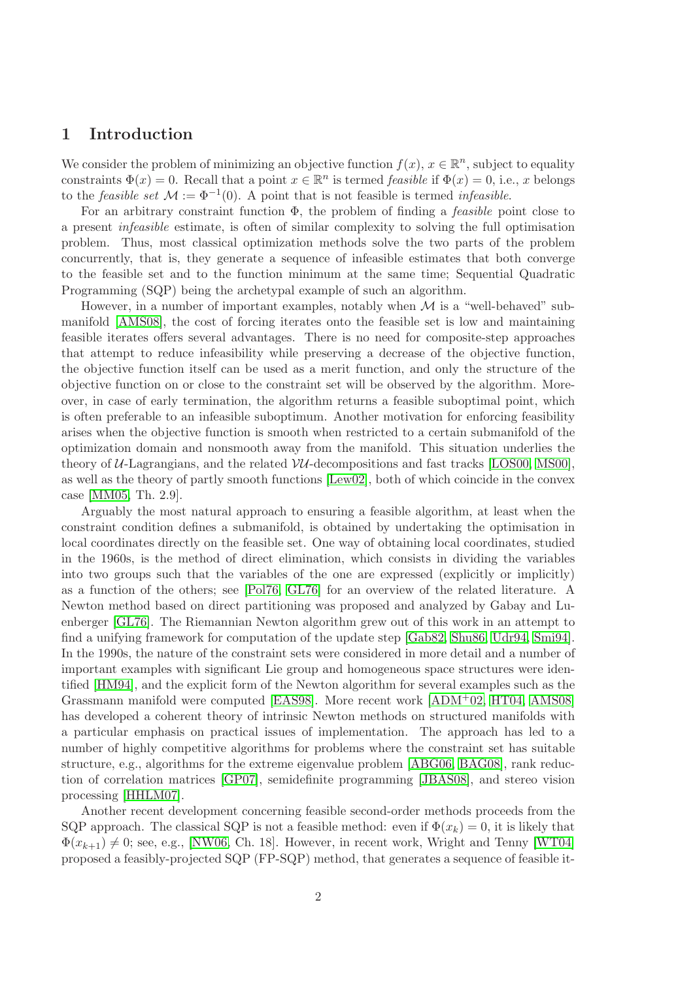# 1 Introduction

We consider the problem of minimizing an objective function  $f(x)$ ,  $x \in \mathbb{R}^n$ , subject to equality constraints  $\Phi(x) = 0$ . Recall that a point  $x \in \mathbb{R}^n$  is termed *feasible* if  $\Phi(x) = 0$ , i.e., x belongs to the *feasible set*  $\mathcal{M} := \Phi^{-1}(0)$ . A point that is not feasible is termed *infeasible*.

For an arbitrary constraint function  $\Phi$ , the problem of finding a *feasible* point close to a present infeasible estimate, is often of similar complexity to solving the full optimisation problem. Thus, most classical optimization methods solve the two parts of the problem concurrently, that is, they generate a sequence of infeasible estimates that both converge to the feasible set and to the function minimum at the same time; Sequential Quadratic Programming (SQP) being the archetypal example of such an algorithm.

However, in a number of important examples, notably when  $\mathcal M$  is a "well-behaved" submanifold [\[AMS08\]](#page-21-0), the cost of forcing iterates onto the feasible set is low and maintaining feasible iterates offers several advantages. There is no need for composite-step approaches that attempt to reduce infeasibility while preserving a decrease of the objective function, the objective function itself can be used as a merit function, and only the structure of the objective function on or close to the constraint set will be observed by the algorithm. Moreover, in case of early termination, the algorithm returns a feasible suboptimal point, which is often preferable to an infeasible suboptimum. Another motivation for enforcing feasibility arises when the objective function is smooth when restricted to a certain submanifold of the optimization domain and nonsmooth away from the manifold. This situation underlies the theory of  $U$ -Lagrangians, and the related  $VU$ -decompositions and fast tracks [\[LOS00,](#page-22-0) [MS00\]](#page-22-1), as well as the theory of partly smooth functions [\[Lew02\]](#page-22-2), both of which coincide in the convex case [\[MM05,](#page-22-3) Th. 2.9].

Arguably the most natural approach to ensuring a feasible algorithm, at least when the constraint condition defines a submanifold, is obtained by undertaking the optimisation in local coordinates directly on the feasible set. One way of obtaining local coordinates, studied in the 1960s, is the method of direct elimination, which consists in dividing the variables into two groups such that the variables of the one are expressed (explicitly or implicitly) as a function of the others; see [\[Pol76,](#page-22-4) [GL76\]](#page-21-1) for an overview of the related literature. A Newton method based on direct partitioning was proposed and analyzed by Gabay and Luenberger [\[GL76\]](#page-21-1). The Riemannian Newton algorithm grew out of this work in an attempt to find a unifying framework for computation of the update step [\[Gab82,](#page-21-2) [Shu86,](#page-22-5) [Udr94,](#page-22-6) [Smi94\]](#page-22-7). In the 1990s, the nature of the constraint sets were considered in more detail and a number of important examples with significant Lie group and homogeneous space structures were identified [\[HM94\]](#page-21-3), and the explicit form of the Newton algorithm for several examples such as the Grassmann manifold were computed [\[EAS98\]](#page-21-4). More recent work [\[ADM](#page-21-5)+02, [HT04,](#page-21-6) [AMS08\]](#page-21-0) has developed a coherent theory of intrinsic Newton methods on structured manifolds with a particular emphasis on practical issues of implementation. The approach has led to a number of highly competitive algorithms for problems where the constraint set has suitable structure, e.g., algorithms for the extreme eigenvalue problem [\[ABG06,](#page-21-7) [BAG08\]](#page-21-8), rank reduction of correlation matrices [\[GP07\]](#page-21-9), semidefinite programming [\[JBAS08\]](#page-21-10), and stereo vision processing [\[HHLM07\]](#page-21-11).

Another recent development concerning feasible second-order methods proceeds from the SQP approach. The classical SQP is not a feasible method: even if  $\Phi(x_k) = 0$ , it is likely that  $\Phi(x_{k+1}) \neq 0$ ; see, e.g., [\[NW06,](#page-22-8) Ch. 18]. However, in recent work, Wright and Tenny [\[WT04\]](#page-22-9) proposed a feasibly-projected SQP (FP-SQP) method, that generates a sequence of feasible it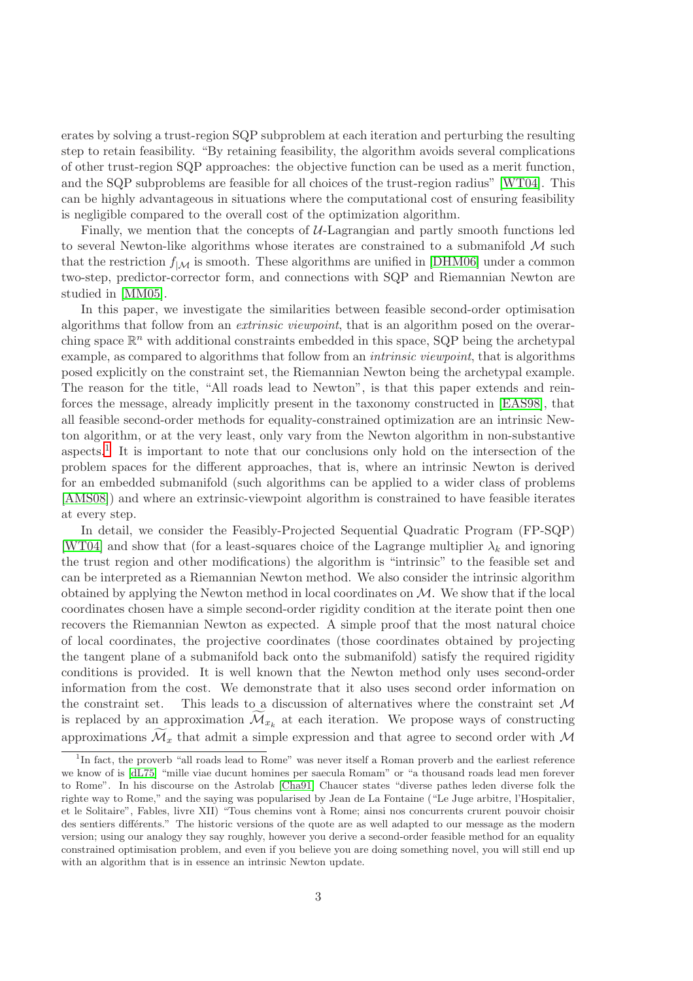erates by solving a trust-region SQP subproblem at each iteration and perturbing the resulting step to retain feasibility. "By retaining feasibility, the algorithm avoids several complications of other trust-region SQP approaches: the objective function can be used as a merit function, and the SQP subproblems are feasible for all choices of the trust-region radius" [\[WT04\]](#page-22-9). This can be highly advantageous in situations where the computational cost of ensuring feasibility is negligible compared to the overall cost of the optimization algorithm.

Finally, we mention that the concepts of  $U$ -Lagrangian and partly smooth functions led to several Newton-like algorithms whose iterates are constrained to a submanifold  $M$  such that the restriction  $f_{|\mathcal{M}}$  is smooth. These algorithms are unified in [\[DHM06\]](#page-21-12) under a common two-step, predictor-corrector form, and connections with SQP and Riemannian Newton are studied in [\[MM05\]](#page-22-3).

In this paper, we investigate the similarities between feasible second-order optimisation algorithms that follow from an extrinsic viewpoint, that is an algorithm posed on the overarching space  $\mathbb{R}^n$  with additional constraints embedded in this space, SQP being the archetypal example, as compared to algorithms that follow from an intrinsic viewpoint, that is algorithms posed explicitly on the constraint set, the Riemannian Newton being the archetypal example. The reason for the title, "All roads lead to Newton", is that this paper extends and reinforces the message, already implicitly present in the taxonomy constructed in [\[EAS98\]](#page-21-4), that all feasible second-order methods for equality-constrained optimization are an intrinsic Newton algorithm, or at the very least, only vary from the Newton algorithm in non-substantive aspects.[1](#page-2-0) It is important to note that our conclusions only hold on the intersection of the problem spaces for the different approaches, that is, where an intrinsic Newton is derived for an embedded submanifold (such algorithms can be applied to a wider class of problems [\[AMS08\]](#page-21-0)) and where an extrinsic-viewpoint algorithm is constrained to have feasible iterates at every step.

In detail, we consider the Feasibly-Projected Sequential Quadratic Program (FP-SQP) [\[WT04\]](#page-22-9) and show that (for a least-squares choice of the Lagrange multiplier  $\lambda_k$  and ignoring the trust region and other modifications) the algorithm is "intrinsic" to the feasible set and can be interpreted as a Riemannian Newton method. We also consider the intrinsic algorithm obtained by applying the Newton method in local coordinates on  $\mathcal M$ . We show that if the local coordinates chosen have a simple second-order rigidity condition at the iterate point then one recovers the Riemannian Newton as expected. A simple proof that the most natural choice of local coordinates, the projective coordinates (those coordinates obtained by projecting the tangent plane of a submanifold back onto the submanifold) satisfy the required rigidity conditions is provided. It is well known that the Newton method only uses second-order information from the cost. We demonstrate that it also uses second order information on the constraint set. This leads to a discussion of alternatives where the constraint set  $\mathcal M$ is replaced by an approximation  $\mathcal{M}_{x_k}$  at each iteration. We propose ways of constructing approximations  $\mathcal{M}_x$  that admit a simple expression and that agree to second order with M

<span id="page-2-0"></span><sup>&</sup>lt;sup>1</sup>In fact, the proverb "all roads lead to Rome" was never itself a Roman proverb and the earliest reference we know of is [\[dL75\]](#page-21-13) "mille viae ducunt homines per saecula Romam" or "a thousand roads lead men forever to Rome". In his discourse on the Astrolab [\[Cha91\]](#page-21-14) Chaucer states "diverse pathes leden diverse folk the righte way to Rome," and the saying was popularised by Jean de La Fontaine ("Le Juge arbitre, l'Hospitalier, et le Solitaire", Fables, livre XII) "Tous chemins vont à Rome; ainsi nos concurrents crurent pouvoir choisir des sentiers différents." The historic versions of the quote are as well adapted to our message as the modern version; using our analogy they say roughly, however you derive a second-order feasible method for an equality constrained optimisation problem, and even if you believe you are doing something novel, you will still end up with an algorithm that is in essence an intrinsic Newton update.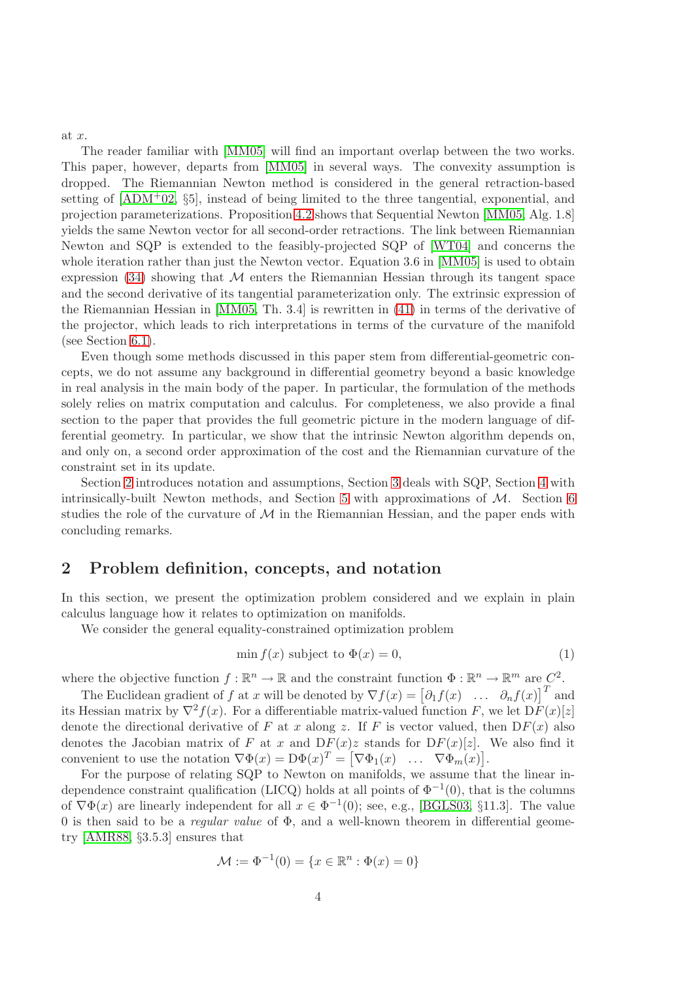at x.

The reader familiar with [\[MM05\]](#page-22-3) will find an important overlap between the two works. This paper, however, departs from [\[MM05\]](#page-22-3) in several ways. The convexity assumption is dropped. The Riemannian Newton method is considered in the general retraction-based setting of  $[ADM<sup>+</sup>02, §5]$ , instead of being limited to the three tangential, exponential, and projection parameterizations. Proposition [4.2](#page-10-0) shows that Sequential Newton [\[MM05,](#page-22-3) Alg. 1.8] yields the same Newton vector for all second-order retractions. The link between Riemannian Newton and SQP is extended to the feasibly-projected SQP of [\[WT04\]](#page-22-9) and concerns the whole iteration rather than just the Newton vector. Equation 3.6 in [\[MM05\]](#page-22-3) is used to obtain expression  $(34)$  showing that M enters the Riemannian Hessian through its tangent space and the second derivative of its tangential parameterization only. The extrinsic expression of the Riemannian Hessian in [\[MM05,](#page-22-3) Th. 3.4] is rewritten in [\(41\)](#page-18-0) in terms of the derivative of the projector, which leads to rich interpretations in terms of the curvature of the manifold (see Section [6.1\)](#page-18-1).

Even though some methods discussed in this paper stem from differential-geometric concepts, we do not assume any background in differential geometry beyond a basic knowledge in real analysis in the main body of the paper. In particular, the formulation of the methods solely relies on matrix computation and calculus. For completeness, we also provide a final section to the paper that provides the full geometric picture in the modern language of differential geometry. In particular, we show that the intrinsic Newton algorithm depends on, and only on, a second order approximation of the cost and the Riemannian curvature of the constraint set in its update.

Section [2](#page-3-0) introduces notation and assumptions, Section [3](#page-4-0) deals with SQP, Section [4](#page-6-0) with intrinsically-built Newton methods, and Section [5](#page-13-0) with approximations of  $M$ . Section [6](#page-17-0) studies the role of the curvature of  $M$  in the Riemannian Hessian, and the paper ends with concluding remarks.

# <span id="page-3-0"></span>2 Problem definition, concepts, and notation

In this section, we present the optimization problem considered and we explain in plain calculus language how it relates to optimization on manifolds.

We consider the general equality-constrained optimization problem

<span id="page-3-1"></span>
$$
\min f(x) \text{ subject to } \Phi(x) = 0,\tag{1}
$$

where the objective function  $f : \mathbb{R}^n \to \mathbb{R}$  and the constraint function  $\Phi : \mathbb{R}^n \to \mathbb{R}^m$  are  $C^2$ .

The Euclidean gradient of f at x will be denoted by  $\nabla f(x) = [\partial_1 f(x) \dots \partial_n f(x)]^T$  and its Hessian matrix by  $\nabla^2 f(x)$ . For a differentiable matrix-valued function F, we let  $D\overline{F}(x)[z]$ denote the directional derivative of F at x along z. If F is vector valued, then  $DF(x)$  also denotes the Jacobian matrix of F at x and  $DF(x)z$  stands for  $DF(x)[z]$ . We also find it convenient to use the notation  $\nabla \Phi(x) = D\Phi(x)^T = [\nabla \Phi_1(x) \dots \nabla \Phi_m(x)].$ 

For the purpose of relating SQP to Newton on manifolds, we assume that the linear independence constraint qualification (LICQ) holds at all points of  $\Phi^{-1}(0)$ , that is the columns of  $\nabla \Phi(x)$  are linearly independent for all  $x \in \Phi^{-1}(0)$ ; see, e.g., [\[BGLS03,](#page-21-15) §11.3]. The value 0 is then said to be a *regular value* of  $\Phi$ , and a well-known theorem in differential geometry [\[AMR88,](#page-21-16) §3.5.3] ensures that

$$
\mathcal{M} := \Phi^{-1}(0) = \{ x \in \mathbb{R}^n : \Phi(x) = 0 \}
$$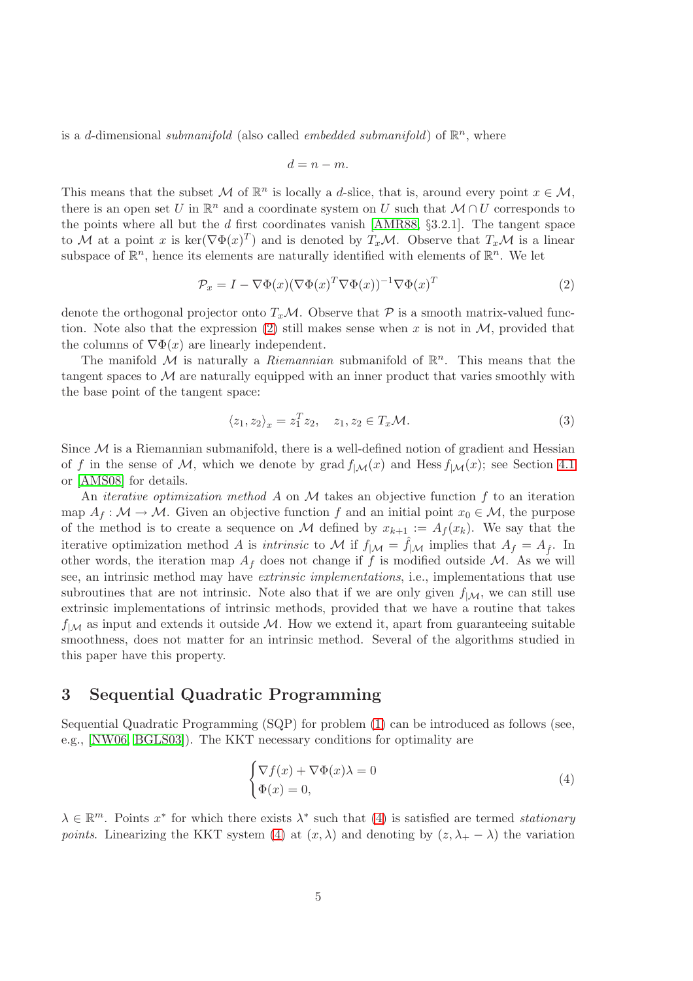is a d-dimensional *submanifold* (also called *embedded submanifold*) of  $\mathbb{R}^n$ , where

$$
d=n-m.
$$

This means that the subset M of  $\mathbb{R}^n$  is locally a d-slice, that is, around every point  $x \in \mathcal{M}$ , there is an open set U in  $\mathbb{R}^n$  and a coordinate system on U such that  $\mathcal{M} \cap U$  corresponds to the points where all but the  $d$  first coordinates vanish [\[AMR88,](#page-21-16)  $\S 3.2.1$ ]. The tangent space to M at a point x is  $\ker(\nabla \Phi(x)^T)$  and is denoted by  $T_x\mathcal{M}$ . Observe that  $T_x\mathcal{M}$  is a linear subspace of  $\mathbb{R}^n$ , hence its elements are naturally identified with elements of  $\mathbb{R}^n$ . We let

<span id="page-4-1"></span>
$$
\mathcal{P}_x = I - \nabla \Phi(x) (\nabla \Phi(x)^T \nabla \Phi(x))^{-1} \nabla \Phi(x)^T
$$
\n(2)

denote the orthogonal projector onto  $T_x\mathcal{M}$ . Observe that  $\mathcal P$  is a smooth matrix-valued func-tion. Note also that the expression [\(2\)](#page-4-1) still makes sense when x is not in  $\mathcal{M}$ , provided that the columns of  $\nabla \Phi(x)$  are linearly independent.

The manifold M is naturally a *Riemannian* submanifold of  $\mathbb{R}^n$ . This means that the tangent spaces to  $\mathcal M$  are naturally equipped with an inner product that varies smoothly with the base point of the tangent space:

$$
\langle z_1, z_2 \rangle_x = z_1^T z_2, \quad z_1, z_2 \in T_x \mathcal{M}.
$$
 (3)

Since  $\mathcal M$  is a Riemannian submanifold, there is a well-defined notion of gradient and Hessian of f in the sense of M, which we denote by grad  $f_{|\mathcal{M}}(x)$  and Hess  $f_{|\mathcal{M}}(x)$ ; see Section [4.1](#page-6-1) or [\[AMS08\]](#page-21-0) for details.

An *iterative optimization method A* on  $M$  takes an objective function f to an iteration map  $A_f : \mathcal{M} \to \mathcal{M}$ . Given an objective function f and an initial point  $x_0 \in \mathcal{M}$ , the purpose of the method is to create a sequence on M defined by  $x_{k+1} := A_f(x_k)$ . We say that the iterative optimization method A is intrinsic to M if  $f_{|\mathcal{M}} = \hat{f}_{|\mathcal{M}}$  implies that  $A_f = A_{\hat{f}}$ . In other words, the iteration map  $A_f$  does not change if f is modified outside M. As we will see, an intrinsic method may have extrinsic implementations, i.e., implementations that use subroutines that are not intrinsic. Note also that if we are only given  $f_{|\mathcal{M}}$ , we can still use extrinsic implementations of intrinsic methods, provided that we have a routine that takes  $f_{|\mathcal{M}}$  as input and extends it outside M. How we extend it, apart from guaranteeing suitable smoothness, does not matter for an intrinsic method. Several of the algorithms studied in this paper have this property.

# <span id="page-4-0"></span>3 Sequential Quadratic Programming

Sequential Quadratic Programming (SQP) for problem [\(1\)](#page-3-1) can be introduced as follows (see, e.g., [\[NW06,](#page-22-8) [BGLS03\]](#page-21-15)). The KKT necessary conditions for optimality are

<span id="page-4-2"></span>
$$
\begin{cases} \nabla f(x) + \nabla \Phi(x)\lambda = 0\\ \Phi(x) = 0, \end{cases}
$$
\n(4)

 $\lambda \in \mathbb{R}^m$ . Points  $x^*$  for which there exists  $\lambda^*$  such that [\(4\)](#page-4-2) is satisfied are termed *stationary* points. Linearizing the KKT system [\(4\)](#page-4-2) at  $(x, \lambda)$  and denoting by  $(z, \lambda_{+} - \lambda)$  the variation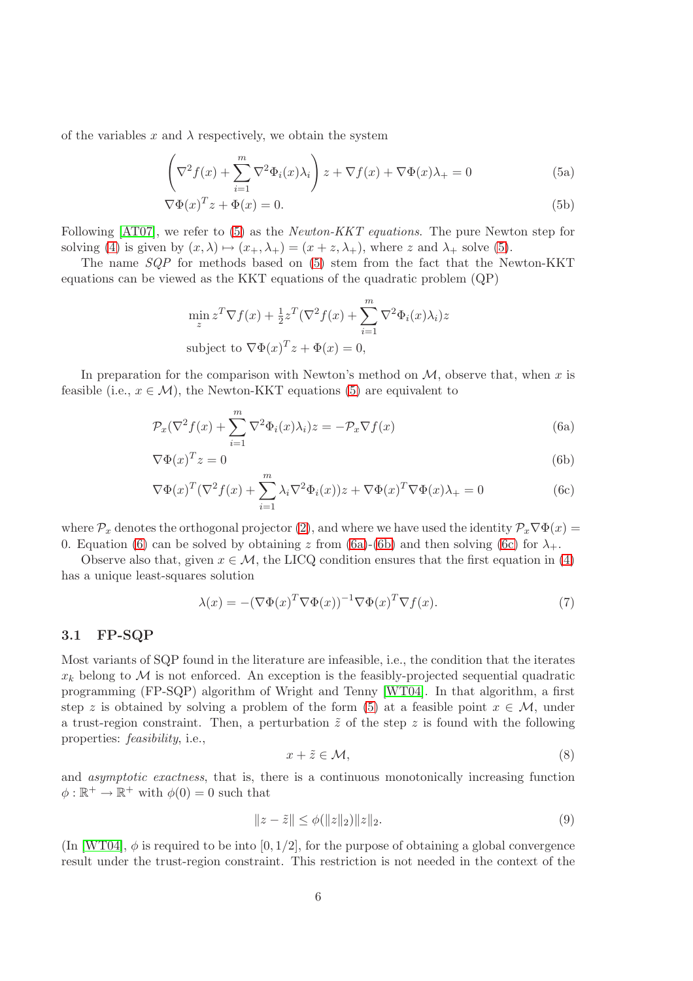of the variables x and  $\lambda$  respectively, we obtain the system

<span id="page-5-0"></span>
$$
\left(\nabla^2 f(x) + \sum_{i=1}^m \nabla^2 \Phi_i(x)\lambda_i\right) z + \nabla f(x) + \nabla \Phi(x)\lambda_+ = 0
$$
\n(5a)

$$
\nabla \Phi(x)^T z + \Phi(x) = 0.
$$
\n(5b)

Following [\[AT07\]](#page-21-17), we refer to [\(5\)](#page-5-0) as the *Newton-KKT equations*. The pure Newton step for solving [\(4\)](#page-4-2) is given by  $(x, \lambda) \mapsto (x_+, \lambda_+) = (x + z, \lambda_+)$ , where z and  $\lambda_+$  solve [\(5\)](#page-5-0).

The name  $SQP$  for methods based on [\(5\)](#page-5-0) stem from the fact that the Newton-KKT equations can be viewed as the KKT equations of the quadratic problem (QP)

<span id="page-5-2"></span><span id="page-5-1"></span>
$$
\min_{z} z^{T} \nabla f(x) + \frac{1}{2} z^{T} (\nabla^{2} f(x) + \sum_{i=1}^{m} \nabla^{2} \Phi_{i}(x) \lambda_{i}) z
$$
  
subject to  $\nabla \Phi(x)^{T} z + \Phi(x) = 0$ ,

In preparation for the comparison with Newton's method on  $M$ , observe that, when x is feasible (i.e.,  $x \in \mathcal{M}$ ), the Newton-KKT equations [\(5\)](#page-5-0) are equivalent to

$$
\mathcal{P}_x(\nabla^2 f(x) + \sum_{i=1}^m \nabla^2 \Phi_i(x)\lambda_i) z = -\mathcal{P}_x \nabla f(x)
$$
\n(6a)

$$
\nabla \Phi(x)^T z = 0 \tag{6b}
$$

$$
\nabla \Phi(x)^T (\nabla^2 f(x) + \sum_{i=1}^m \lambda_i \nabla^2 \Phi_i(x)) z + \nabla \Phi(x)^T \nabla \Phi(x) \lambda_+ = 0 \tag{6c}
$$

where  $\mathcal{P}_x$  denotes the orthogonal projector [\(2\)](#page-4-1), and where we have used the identity  $\mathcal{P}_x\nabla\Phi(x)$ 0. Equation [\(6\)](#page-5-1) can be solved by obtaining z from [\(6a\)](#page-5-2)-[\(6b\)](#page-5-3) and then solving [\(6c\)](#page-5-4) for  $\lambda_+$ .

Observe also that, given  $x \in \mathcal{M}$ , the LICQ condition ensures that the first equation in [\(4\)](#page-4-2) has a unique least-squares solution

<span id="page-5-7"></span><span id="page-5-4"></span><span id="page-5-3"></span>
$$
\lambda(x) = -(\nabla \Phi(x)^T \nabla \Phi(x))^{-1} \nabla \Phi(x)^T \nabla f(x).
$$
\n(7)

### 3.1 FP-SQP

Most variants of SQP found in the literature are infeasible, i.e., the condition that the iterates  $x_k$  belong to M is not enforced. An exception is the feasibly-projected sequential quadratic programming (FP-SQP) algorithm of Wright and Tenny [\[WT04\]](#page-22-9). In that algorithm, a first step z is obtained by solving a problem of the form [\(5\)](#page-5-0) at a feasible point  $x \in M$ , under a trust-region constraint. Then, a perturbation  $\tilde{z}$  of the step z is found with the following properties: feasibility, i.e.,

<span id="page-5-5"></span>
$$
x + \tilde{z} \in \mathcal{M},\tag{8}
$$

and asymptotic exactness, that is, there is a continuous monotonically increasing function  $\phi : \mathbb{R}^+ \to \mathbb{R}^+$  with  $\phi(0) = 0$  such that

<span id="page-5-6"></span>
$$
||z - \tilde{z}|| \le \phi(||z||_2) ||z||_2.
$$
\n(9)

(In [\[WT04\]](#page-22-9),  $\phi$  is required to be into [0, 1/2], for the purpose of obtaining a global convergence result under the trust-region constraint. This restriction is not needed in the context of the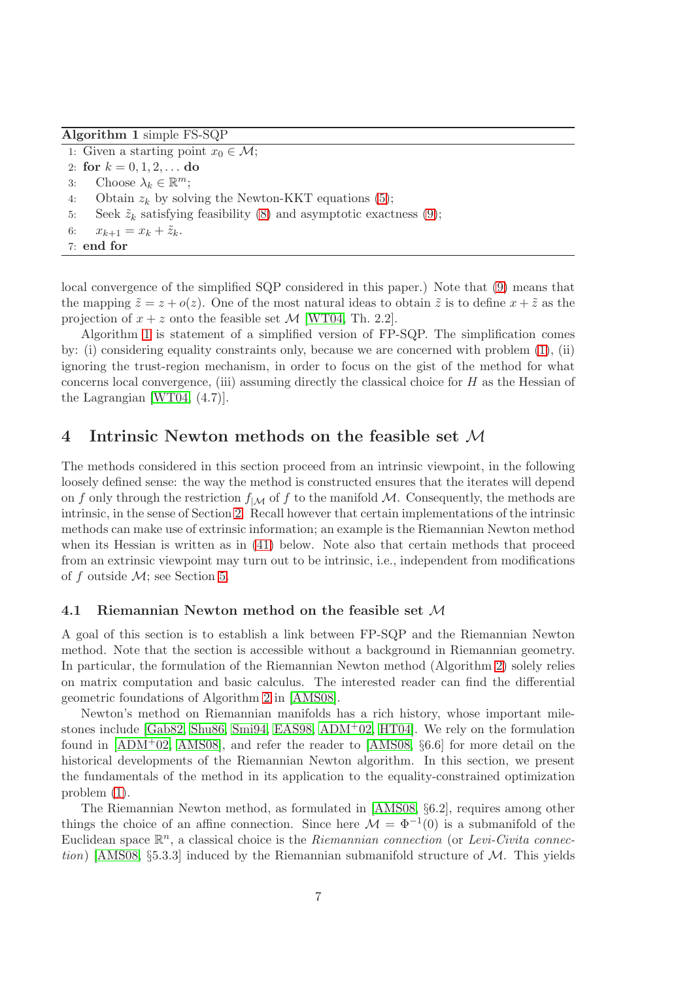<span id="page-6-2"></span>Algorithm 1 simple FS-SQP

1: Given a starting point  $x_0 \in \mathcal{M}$ ; 2: for  $k = 0, 1, 2, \ldots$  do 3: Choose  $\lambda_k \in \mathbb{R}^m$ ; 4: Obtain  $z_k$  by solving the Newton-KKT equations [\(5\)](#page-5-0); 5: Seek  $\tilde{z}_k$  satisfying feasibility [\(8\)](#page-5-5) and asymptotic exactness [\(9\)](#page-5-6); 6:  $x_{k+1} = x_k + \tilde{z}_k$ .

7: end for

local convergence of the simplified SQP considered in this paper.) Note that [\(9\)](#page-5-6) means that the mapping  $\tilde{z} = z + o(z)$ . One of the most natural ideas to obtain  $\tilde{z}$  is to define  $x + \tilde{z}$  as the projection of  $x + z$  onto the feasible set  $\mathcal{M}$  [\[WT04,](#page-22-9) Th. 2.2].

Algorithm [1](#page-6-2) is statement of a simplified version of FP-SQP. The simplification comes by: (i) considering equality constraints only, because we are concerned with problem [\(1\)](#page-3-1), (ii) ignoring the trust-region mechanism, in order to focus on the gist of the method for what concerns local convergence, (iii) assuming directly the classical choice for  $H$  as the Hessian of the Lagrangian [\[WT04,](#page-22-9) (4.7)].

# <span id="page-6-0"></span>4 Intrinsic Newton methods on the feasible set M

The methods considered in this section proceed from an intrinsic viewpoint, in the following loosely defined sense: the way the method is constructed ensures that the iterates will depend on f only through the restriction  $f_{|\mathcal{M}|}$  of f to the manifold M. Consequently, the methods are intrinsic, in the sense of Section [2.](#page-3-0) Recall however that certain implementations of the intrinsic methods can make use of extrinsic information; an example is the Riemannian Newton method when its Hessian is written as in [\(41\)](#page-18-0) below. Note also that certain methods that proceed from an extrinsic viewpoint may turn out to be intrinsic, i.e., independent from modifications of f outside  $\mathcal{M}$ ; see Section [5.](#page-13-0)

#### <span id="page-6-1"></span>4.1 Riemannian Newton method on the feasible set M

A goal of this section is to establish a link between FP-SQP and the Riemannian Newton method. Note that the section is accessible without a background in Riemannian geometry. In particular, the formulation of the Riemannian Newton method (Algorithm [2\)](#page-7-0) solely relies on matrix computation and basic calculus. The interested reader can find the differential geometric foundations of Algorithm [2](#page-7-0) in [\[AMS08\]](#page-21-0).

Newton's method on Riemannian manifolds has a rich history, whose important milestones include [\[Gab82,](#page-21-2) [Shu86,](#page-22-5) [Smi94,](#page-22-7) [EAS98,](#page-21-4) [ADM](#page-21-5)+02, [HT04\]](#page-21-6). We rely on the formulation found in  $[ADM+02, AMS08]$  $[ADM+02, AMS08]$ , and refer the reader to  $[AMS08, §6.6]$  for more detail on the historical developments of the Riemannian Newton algorithm. In this section, we present the fundamentals of the method in its application to the equality-constrained optimization problem [\(1\)](#page-3-1).

The Riemannian Newton method, as formulated in [\[AMS08,](#page-21-0) §6.2], requires among other things the choice of an affine connection. Since here  $\mathcal{M} = \Phi^{-1}(0)$  is a submanifold of the Euclidean space  $\mathbb{R}^n$ , a classical choice is the Riemannian connection (or Levi-Civita connec-tion) [\[AMS08,](#page-21-0) §5.3.3] induced by the Riemannian submanifold structure of  $\mathcal{M}$ . This yields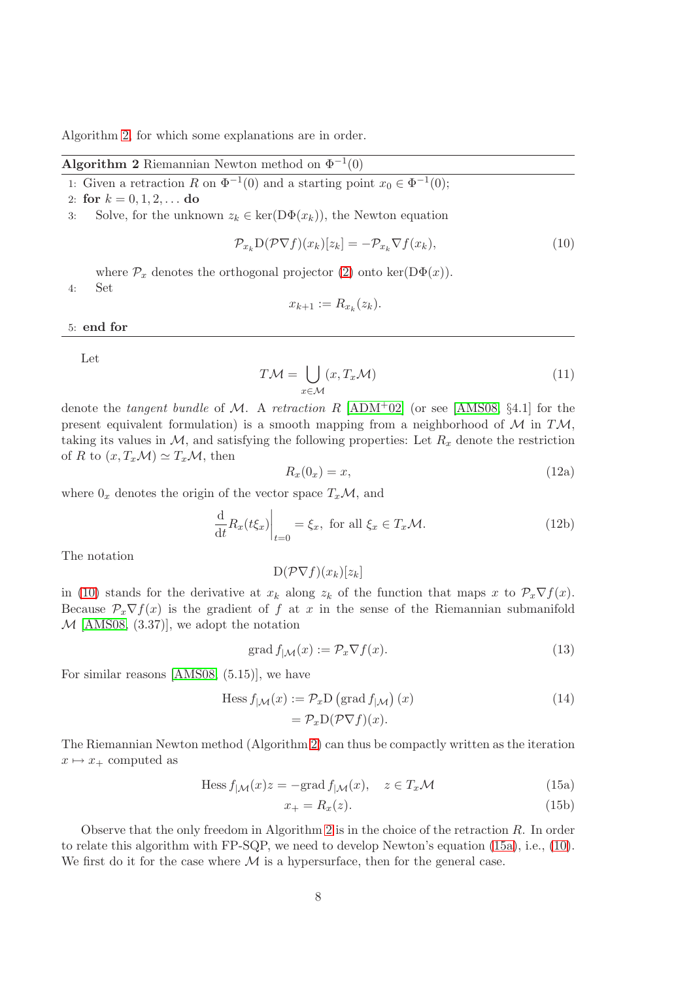Algorithm [2,](#page-7-0) for which some explanations are in order.

<span id="page-7-0"></span>**Algorithm 2** Riemannian Newton method on  $\Phi^{-1}(0)$ 

1: Given a retraction R on  $\Phi^{-1}(0)$  and a starting point  $x_0 \in \Phi^{-1}(0)$ ;

2: for  $k = 0, 1, 2, \ldots$  do

3: Solve, for the unknown  $z_k \in \text{ker}(D\Phi(x_k))$ , the Newton equation

<span id="page-7-1"></span>
$$
\mathcal{P}_{x_k} \mathcal{D}(\mathcal{P} \nabla f)(x_k)[z_k] = -\mathcal{P}_{x_k} \nabla f(x_k),\tag{10}
$$

where  $\mathcal{P}_x$  denotes the orthogonal projector [\(2\)](#page-4-1) onto ker(D $\Phi(x)$ ).

4: Set

$$
x_{k+1} := R_{x_k}(z_k).
$$

5: end for

Let

$$
T\mathcal{M} = \bigcup_{x \in \mathcal{M}} (x, T_x \mathcal{M})
$$
\n(11)

denote the tangent bundle of M. A retraction R  $[ADM^+02]$  $[ADM^+02]$  (or see [\[AMS08,](#page-21-0) §4.1] for the present equivalent formulation) is a smooth mapping from a neighborhood of  $\mathcal M$  in T $\mathcal M$ , taking its values in  $M$ , and satisfying the following properties: Let  $R_x$  denote the restriction of R to  $(x, T_x\mathcal{M}) \simeq T_x\mathcal{M}$ , then

<span id="page-7-4"></span>
$$
R_x(0_x) = x,\t\t(12a)
$$

where  $0_x$  denotes the origin of the vector space  $T_x\mathcal{M}$ , and

<span id="page-7-7"></span>
$$
\left. \frac{\mathrm{d}}{\mathrm{d}t} R_x(t\xi_x) \right|_{t=0} = \xi_x, \text{ for all } \xi_x \in T_x \mathcal{M}.
$$
 (12b)

The notation

 $D(P\nabla f)(x_k)[z_k]$ 

in [\(10\)](#page-7-1) stands for the derivative at  $x_k$  along  $z_k$  of the function that maps x to  $\mathcal{P}_x \nabla f(x)$ . Because  $\mathcal{P}_x \nabla f(x)$  is the gradient of f at x in the sense of the Riemannian submanifold  $M$  [\[AMS08,](#page-21-0) (3.37)], we adopt the notation

<span id="page-7-3"></span>
$$
\operatorname{grad} f_{|\mathcal{M}}(x) := \mathcal{P}_x \nabla f(x). \tag{13}
$$

For similar reasons [\[AMS08,](#page-21-0) (5.15)], we have

Hess 
$$
f_{\mid \mathcal{M}}(x) := \mathcal{P}_x D \left( \text{grad } f_{\mid \mathcal{M}} \right)(x)
$$
  
=  $\mathcal{P}_x D(\mathcal{P}\nabla f)(x).$  (14)

The Riemannian Newton method (Algorithm [2\)](#page-7-0) can thus be compactly written as the iteration  $x \mapsto x_+$  computed as

<span id="page-7-6"></span>
$$
\text{Hess } f_{|\mathcal{M}}(x)z = -\text{grad } f_{|\mathcal{M}}(x), \quad z \in T_x \mathcal{M}
$$
\n(15a)

<span id="page-7-5"></span><span id="page-7-2"></span>
$$
x_{+} = R_{x}(z). \tag{15b}
$$

Observe that the only freedom in Algorithm [2](#page-7-0) is in the choice of the retraction R. In order to relate this algorithm with FP-SQP, we need to develop Newton's equation [\(15a\)](#page-7-2), i.e., [\(10\)](#page-7-1). We first do it for the case where  $\mathcal M$  is a hypersurface, then for the general case.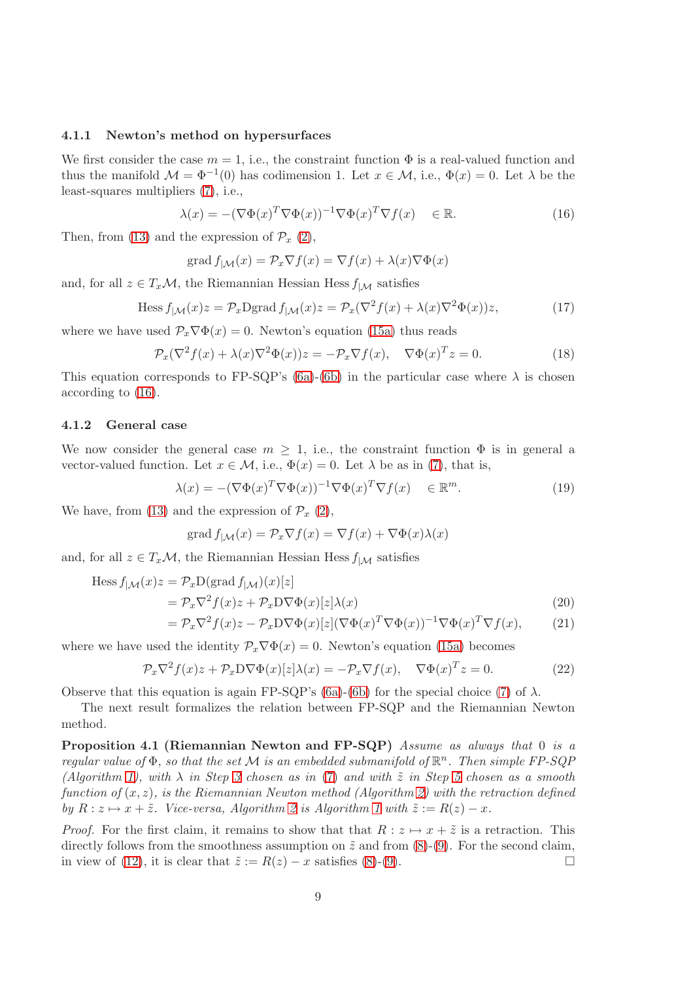#### 4.1.1 Newton's method on hypersurfaces

We first consider the case  $m = 1$ , i.e., the constraint function  $\Phi$  is a real-valued function and thus the manifold  $\mathcal{M} = \Phi^{-1}(0)$  has codimension 1. Let  $x \in \mathcal{M}$ , i.e.,  $\Phi(x) = 0$ . Let  $\lambda$  be the least-squares multipliers [\(7\)](#page-5-7), i.e.,

<span id="page-8-0"></span>
$$
\lambda(x) = -(\nabla \Phi(x)^T \nabla \Phi(x))^{-1} \nabla \Phi(x)^T \nabla f(x) \in \mathbb{R}.
$$
 (16)

Then, from [\(13\)](#page-7-3) and the expression of  $\mathcal{P}_x$  [\(2\)](#page-4-1),

$$
\operatorname{grad} f_{|\mathcal{M}}(x) = \mathcal{P}_x \nabla f(x) = \nabla f(x) + \lambda(x) \nabla \Phi(x)
$$

and, for all  $z \in T_x\mathcal{M}$ , the Riemannian Hessian Hess  $f_{|\mathcal{M}}$  satisfies

Hess 
$$
f_{|\mathcal{M}}(x)z = \mathcal{P}_x \text{Dgrad } f_{|\mathcal{M}}(x)z = \mathcal{P}_x(\nabla^2 f(x) + \lambda(x)\nabla^2 \Phi(x))z,
$$
 (17)

where we have used  $\mathcal{P}_x \nabla \Phi(x) = 0$ . Newton's equation [\(15a\)](#page-7-2) thus reads

$$
\mathcal{P}_x(\nabla^2 f(x) + \lambda(x)\nabla^2 \Phi(x))z = -\mathcal{P}_x \nabla f(x), \quad \nabla \Phi(x)^T z = 0.
$$
 (18)

This equation corresponds to FP-SQP's [\(6a\)](#page-5-2)-[\(6b\)](#page-5-3) in the particular case where  $\lambda$  is chosen according to [\(16\)](#page-8-0).

#### 4.1.2 General case

We now consider the general case  $m \geq 1$ , i.e., the constraint function  $\Phi$  is in general a vector-valued function. Let  $x \in \mathcal{M}$ , i.e.,  $\Phi(x) = 0$ . Let  $\lambda$  be as in [\(7\)](#page-5-7), that is,

$$
\lambda(x) = -(\nabla \Phi(x)^T \nabla \Phi(x))^{-1} \nabla \Phi(x)^T \nabla f(x) \in \mathbb{R}^m.
$$
\n(19)

We have, from [\(13\)](#page-7-3) and the expression of  $\mathcal{P}_x$  [\(2\)](#page-4-1),

<span id="page-8-2"></span>
$$
\operatorname{grad} f_{|\mathcal{M}}(x) = \mathcal{P}_x \nabla f(x) = \nabla f(x) + \nabla \Phi(x) \lambda(x)
$$

and, for all  $z \in T_x\mathcal{M}$ , the Riemannian Hessian Hess  $f_{|\mathcal{M}|}$  satisfies

Hess 
$$
f_{|\mathcal{M}}(x)z = \mathcal{P}_x D(\text{grad } f_{|\mathcal{M}})(x)[z]
$$
  
\n
$$
= \mathcal{P}_x \nabla^2 f(x)z + \mathcal{P}_x D \nabla \Phi(x)[z] \lambda(x)
$$
\n
$$
= \mathcal{P}_x \nabla^2 f(x)z - \mathcal{P}_x D \nabla \Phi(x)[z] (\nabla \Phi(x)^T \nabla \Phi(x))^{-1} \nabla \Phi(x)^T \nabla f(x),
$$
\n(21)

where we have used the identity  $\mathcal{P}_x \nabla \Phi(x) = 0$ . Newton's equation [\(15a\)](#page-7-2) becomes

$$
\mathcal{P}_x \nabla^2 f(x) z + \mathcal{P}_x D \nabla \Phi(x) [z] \lambda(x) = -\mathcal{P}_x \nabla f(x), \quad \nabla \Phi(x)^T z = 0.
$$
 (22)

Observe that this equation is again FP-SQP's [\(6a\)](#page-5-2)-[\(6b\)](#page-5-3) for the special choice [\(7\)](#page-5-7) of  $\lambda$ .

<span id="page-8-1"></span>The next result formalizes the relation between FP-SQP and the Riemannian Newton method.

Proposition 4.1 (Riemannian Newton and FP-SQP) Assume as always that 0 is a regular value of  $\Phi$ , so that the set M is an embedded submanifold of  $\mathbb{R}^n$ . Then simple FP-SQP (Algorithm [1\)](#page-6-2), with  $\lambda$  in Step [3](#page-10-1) chosen as in [\(7\)](#page-5-7) and with  $\tilde{z}$  in Step [5](#page-10-2) chosen as a smooth function of  $(x, z)$ , is the Riemannian Newton method (Algorithm [2\)](#page-7-0) with the retraction defined by  $R: z \mapsto x + \tilde{z}$ . Vice-versa, Algorithm [2](#page-7-0) is Algorithm [1](#page-6-2) with  $\tilde{z} := R(z) - x$ .

*Proof.* For the first claim, it remains to show that that  $R: z \mapsto x + \tilde{z}$  is a retraction. This directly follows from the smoothness assumption on  $\tilde{z}$  and from  $(8)-(9)$  $(8)-(9)$ . For the second claim, in view of [\(12\)](#page-7-4), it is clear that  $\tilde{z} := R(z) - x$  satisfies [\(8\)](#page-5-5)-[\(9\)](#page-5-6).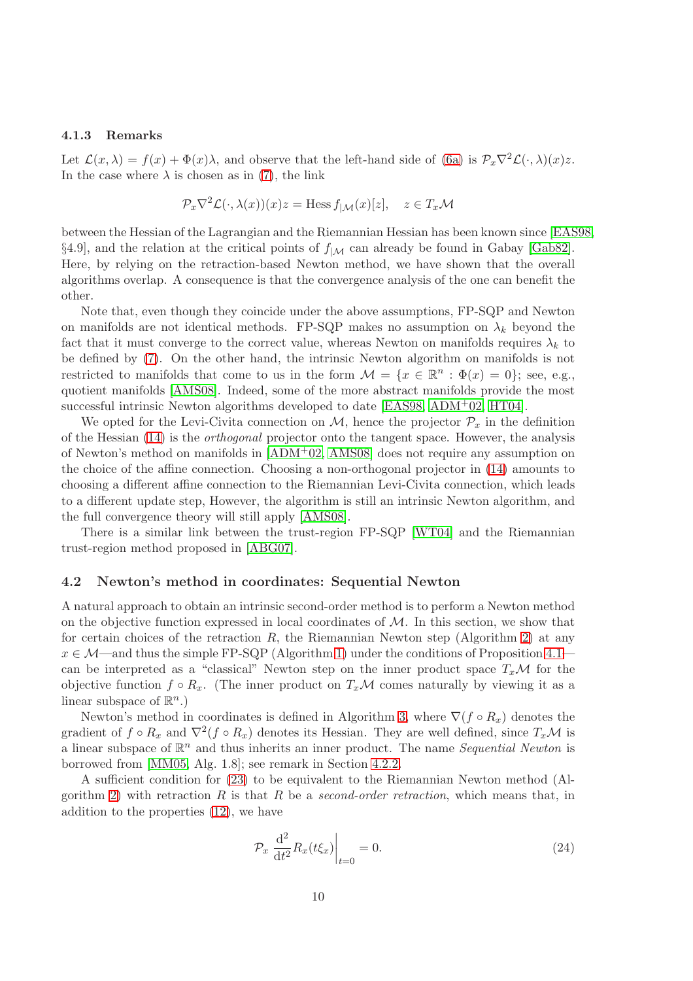#### 4.1.3 Remarks

Let  $\mathcal{L}(x,\lambda) = f(x) + \Phi(x)\lambda$ , and observe that the left-hand side of [\(6a\)](#page-5-2) is  $\mathcal{P}_x\nabla^2\mathcal{L}(\cdot,\lambda)(x)z$ . In the case where  $\lambda$  is chosen as in [\(7\)](#page-5-7), the link

$$
\mathcal{P}_x \nabla^2 \mathcal{L}(\cdot, \lambda(x))(x) z = \text{Hess } f_{|\mathcal{M}}(x)[z], \quad z \in T_x \mathcal{M}
$$

between the Hessian of the Lagrangian and the Riemannian Hessian has been known since [\[EAS98,](#page-21-4) §4.9], and the relation at the critical points of  $f_{|M}$  can already be found in Gabay [\[Gab82\]](#page-21-2). Here, by relying on the retraction-based Newton method, we have shown that the overall algorithms overlap. A consequence is that the convergence analysis of the one can benefit the other.

Note that, even though they coincide under the above assumptions, FP-SQP and Newton on manifolds are not identical methods. FP-SQP makes no assumption on  $\lambda_k$  beyond the fact that it must converge to the correct value, whereas Newton on manifolds requires  $\lambda_k$  to be defined by [\(7\)](#page-5-7). On the other hand, the intrinsic Newton algorithm on manifolds is not restricted to manifolds that come to us in the form  $\mathcal{M} = \{x \in \mathbb{R}^n : \Phi(x) = 0\}$ ; see, e.g., quotient manifolds [\[AMS08\]](#page-21-0). Indeed, some of the more abstract manifolds provide the most successful intrinsic Newton algorithms developed to date [\[EAS98,](#page-21-4) [ADM](#page-21-5)+02, [HT04\]](#page-21-6).

We opted for the Levi-Civita connection on  $M$ , hence the projector  $\mathcal{P}_x$  in the definition of the Hessian [\(14\)](#page-7-5) is the orthogonal projector onto the tangent space. However, the analysis of Newton's method on manifolds in [\[ADM](#page-21-5)+02, [AMS08\]](#page-21-0) does not require any assumption on the choice of the affine connection. Choosing a non-orthogonal projector in [\(14\)](#page-7-5) amounts to choosing a different affine connection to the Riemannian Levi-Civita connection, which leads to a different update step, However, the algorithm is still an intrinsic Newton algorithm, and the full convergence theory will still apply [\[AMS08\]](#page-21-0).

There is a similar link between the trust-region FP-SQP [\[WT04\]](#page-22-9) and the Riemannian trust-region method proposed in [\[ABG07\]](#page-21-18).

#### 4.2 Newton's method in coordinates: Sequential Newton

A natural approach to obtain an intrinsic second-order method is to perform a Newton method on the objective function expressed in local coordinates of  $M$ . In this section, we show that for certain choices of the retraction  $R$ , the Riemannian Newton step (Algorithm [2\)](#page-7-0) at any  $x \in \mathcal{M}$ —and thus the simple FP-SQP (Algorithm [1\)](#page-6-2) under the conditions of Proposition 4.1– can be interpreted as a "classical" Newton step on the inner product space  $T_x\mathcal{M}$  for the objective function  $f \circ R_x$ . (The inner product on  $T_x\mathcal{M}$  comes naturally by viewing it as a linear subspace of  $\mathbb{R}^n$ .)

Newton's method in coordinates is defined in Algorithm [3,](#page-10-3) where  $\nabla(f \circ R_x)$  denotes the gradient of  $f \circ R_x$  and  $\nabla^2 (f \circ R_x)$  denotes its Hessian. They are well defined, since  $T_x\mathcal{M}$  is a linear subspace of  $\mathbb{R}^n$  and thus inherits an inner product. The name Sequential Newton is borrowed from [\[MM05,](#page-22-3) Alg. 1.8]; see remark in Section [4.2.2.](#page-12-0)

A sufficient condition for [\(23\)](#page-10-4) to be equivalent to the Riemannian Newton method (Al-gorithm [2\)](#page-7-0) with retraction R is that R be a second-order retraction, which means that, in addition to the properties [\(12\)](#page-7-4), we have

$$
\mathcal{P}_x \left. \frac{\mathrm{d}^2}{\mathrm{d}t^2} R_x(t\xi_x) \right|_{t=0} = 0. \tag{24}
$$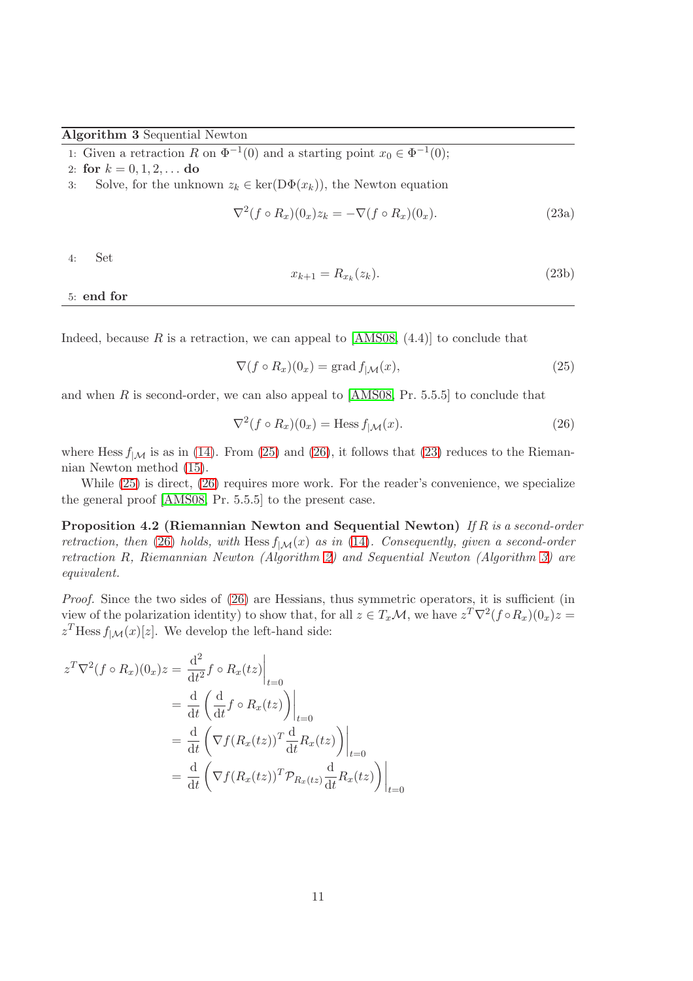#### <span id="page-10-3"></span>Algorithm 3 Sequential Newton

1: Given a retraction R on  $\Phi^{-1}(0)$  and a starting point  $x_0 \in \Phi^{-1}(0)$ ;

<span id="page-10-1"></span>2: for  $k = 0, 1, 2, \ldots$  do

3: Solve, for the unknown  $z_k \in \text{ker}(D\Phi(x_k))$ , the Newton equation

$$
\nabla^2 (f \circ R_x)(0_x) z_k = -\nabla (f \circ R_x)(0_x). \tag{23a}
$$

4: Set

<span id="page-10-4"></span>
$$
x_{k+1} = R_{x_k}(z_k). \tag{23b}
$$

<span id="page-10-2"></span>5: end for

Indeed, because R is a retraction, we can appeal to  $[AMS08, (4.4)]$  to conclude that

<span id="page-10-5"></span>
$$
\nabla (f \circ R_x)(0_x) = \text{grad } f_{|\mathcal{M}}(x), \qquad (25)
$$

and when  $R$  is second-order, we can also appeal to  $[AMS08, Pr. 5.5.5]$  to conclude that

<span id="page-10-6"></span><span id="page-10-0"></span>
$$
\nabla^2 (f \circ R_x)(0_x) = \text{Hess } f_{\mid \mathcal{M}}(x). \tag{26}
$$

where Hess  $f_{|\mathcal{M}}$  is as in [\(14\)](#page-7-5). From [\(25\)](#page-10-5) and [\(26\)](#page-10-6), it follows that [\(23\)](#page-10-4) reduces to the Riemannian Newton method [\(15\)](#page-7-6).

While  $(25)$  is direct,  $(26)$  requires more work. For the reader's convenience, we specialize the general proof [\[AMS08,](#page-21-0) Pr. 5.5.5] to the present case.

Proposition 4.2 (Riemannian Newton and Sequential Newton) If R is a second-order retraction, then [\(26\)](#page-10-6) holds, with Hess  $f_{|\mathcal{M}}(x)$  as in [\(14\)](#page-7-5). Consequently, given a second-order retraction R, Riemannian Newton (Algorithm [2\)](#page-7-0) and Sequential Newton (Algorithm [3\)](#page-10-3) are equivalent.

Proof. Since the two sides of  $(26)$  are Hessians, thus symmetric operators, it is sufficient (in view of the polarization identity) to show that, for all  $z \in T_x\mathcal{M}$ , we have  $z^T \nabla^2 (f \circ R_x)(0_x) z =$  $z<sup>T</sup>$  Hess  $f<sub>|\mathcal{M}(x)[z]</sub>$ . We develop the left-hand side:

$$
z^T \nabla^2 (f \circ R_x)(0_x) z = \frac{d^2}{dt^2} f \circ R_x(tz) \Big|_{t=0}
$$
  
=  $\frac{d}{dt} \left( \frac{d}{dt} f \circ R_x(tz) \right) \Big|_{t=0}$   
=  $\frac{d}{dt} \left( \nabla f(R_x(tz))^T \frac{d}{dt} R_x(tz) \right) \Big|_{t=0}$   
=  $\frac{d}{dt} \left( \nabla f(R_x(tz))^T \mathcal{P}_{R_x(tz)} \frac{d}{dt} R_x(tz) \right) \Big|_{t=0}$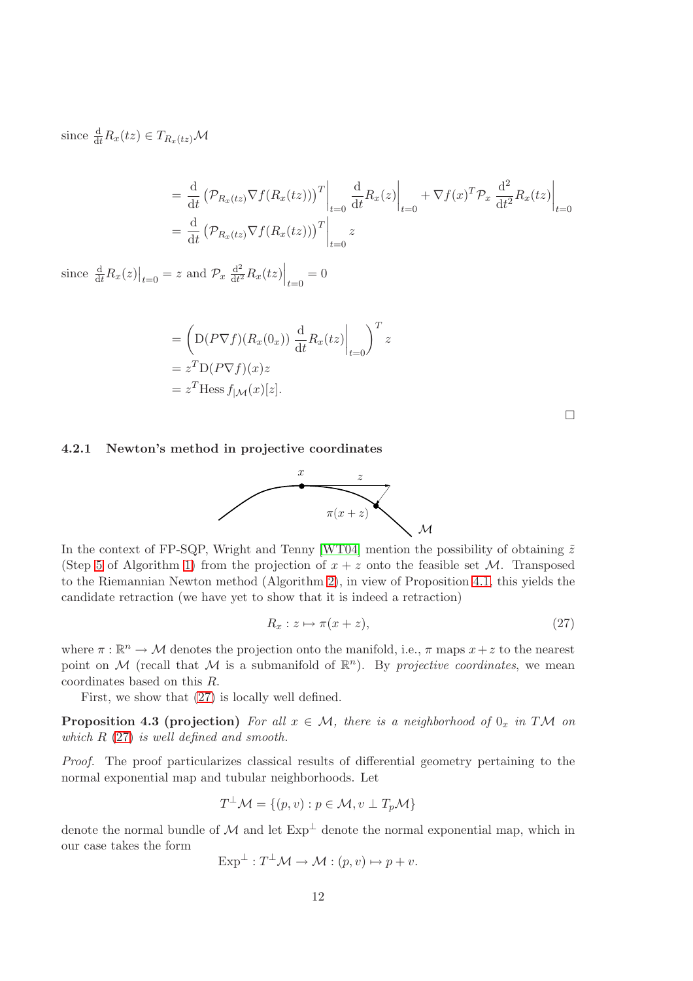since  $\frac{d}{dt}R_x(tz) \in T_{R_x(tz)}\mathcal{M}$ 

$$
= \frac{\mathrm{d}}{\mathrm{d}t} \left( \mathcal{P}_{R_x(tz)} \nabla f(R_x(tz)) \right)^T \Big|_{t=0} \frac{\mathrm{d}}{\mathrm{d}t} R_x(z) \Big|_{t=0} + \nabla f(x)^T \mathcal{P}_x \frac{\mathrm{d}^2}{\mathrm{d}t^2} R_x(tz) \Big|_{t=0}
$$
  
=  $\frac{\mathrm{d}}{\mathrm{d}t} \left( \mathcal{P}_{R_x(tz)} \nabla f(R_x(tz)) \right)^T \Big|_{t=0} z$ 

since  $\frac{d}{dt}R_x(z)\big|_{t=0} = z$  and  $\mathcal{P}_x \frac{d^2}{dt^2}$  $\frac{\mathrm{d}^2}{\mathrm{d}t^2} R_x(tz) \Big|_{t=0} = 0$ 

$$
= \left( D(P\nabla f)(R_x(0_x)) \frac{d}{dt} R_x(tz) \Big|_{t=0} \right)^T z
$$
  
=  $z^T D(P\nabla f)(x)z$   
=  $z^T$ Hess  $f_{|\mathcal{M}}(x)[z]$ .

 $\Box$ 

#### 4.2.1 Newton's method in projective coordinates



In the context of FP-SQP, Wright and Tenny [\[WT04\]](#page-22-9) mention the possibility of obtaining  $\tilde{z}$ (Step [5](#page-10-2) of Algorithm [1\)](#page-6-2) from the projection of  $x + z$  onto the feasible set M. Transposed to the Riemannian Newton method (Algorithm [2\)](#page-7-0), in view of Proposition [4.1,](#page-8-1) this yields the candidate retraction (we have yet to show that it is indeed a retraction)

<span id="page-11-0"></span>
$$
R_x: z \mapsto \pi(x+z),\tag{27}
$$

where  $\pi : \mathbb{R}^n \to \mathcal{M}$  denotes the projection onto the manifold, i.e.,  $\pi$  maps  $x + z$  to the nearest point on M (recall that M is a submanifold of  $\mathbb{R}^n$ ). By projective coordinates, we mean coordinates based on this R.

First, we show that [\(27\)](#page-11-0) is locally well defined.

**Proposition 4.3 (projection)** For all  $x \in M$ , there is a neighborhood of  $0_x$  in TM on which  $R(27)$  $R(27)$  is well defined and smooth.

Proof. The proof particularizes classical results of differential geometry pertaining to the normal exponential map and tubular neighborhoods. Let

$$
T^{\perp}\mathcal{M} = \{(p, v) : p \in \mathcal{M}, v \perp T_p\mathcal{M}\}\
$$

denote the normal bundle of  $\mathcal M$  and let  $Exp^{\perp}$  denote the normal exponential map, which in our case takes the form

$$
Exp^{\perp}: T^{\perp} \mathcal{M} \to \mathcal{M}: (p, v) \mapsto p + v.
$$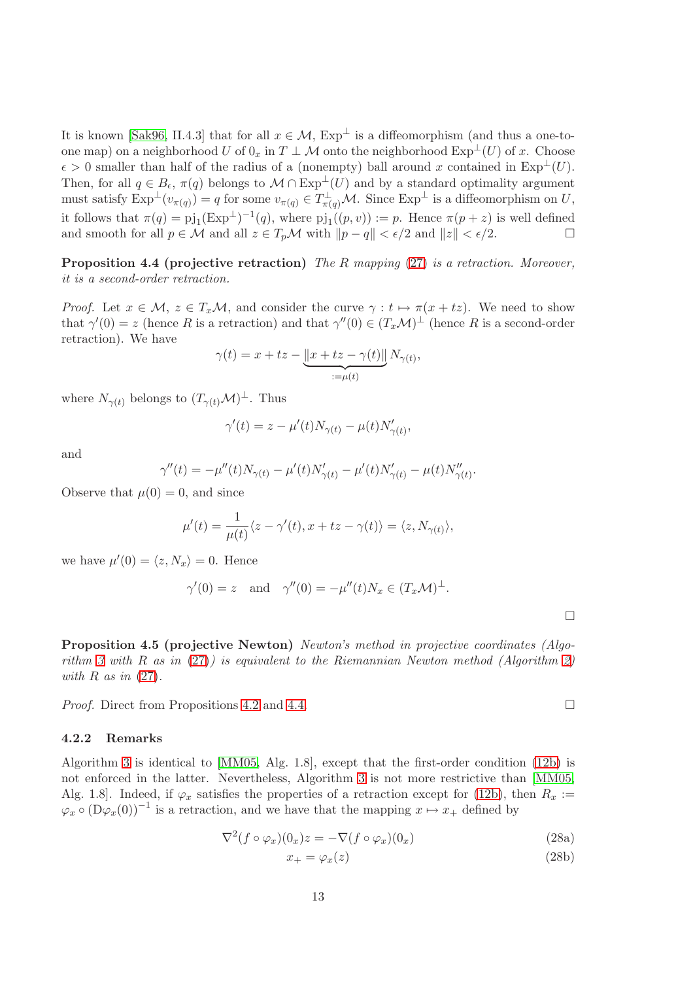It is known [\[Sak96,](#page-22-10) II.4.3] that for all  $x \in \mathcal{M}$ ,  $Exp^{\perp}$  is a diffeomorphism (and thus a one-toone map) on a neighborhood U of  $0_x$  in  $T \perp \mathcal{M}$  onto the neighborhood  $Exp^{\perp}(U)$  of x. Choose  $\epsilon > 0$  smaller than half of the radius of a (nonempty) ball around x contained in Exp<sup>⊥</sup>(U). Then, for all  $q \in B_{\epsilon}$ ,  $\pi(q)$  belongs to  $\mathcal{M} \cap \mathrm{Exp}^{\perp}(U)$  and by a standard optimality argument must satisfy  $\text{Exp}^{\perp}(v_{\pi(q)}) = q$  for some  $v_{\pi(q)} \in T^{\perp}_{\pi(q)}\mathcal{M}$ . Since  $\text{Exp}^{\perp}$  is a diffeomorphism on U, it follows that  $\pi(q) = \pi j_1 (\text{Exp}^{\perp})^{-1}(q)$ , where  $\pi j_1((p, v)) := p$ . Hence  $\pi(p + z)$  is well defined and smooth for all  $p \in \mathcal{M}$  and all  $z \in T_p\mathcal{M}$  with  $||p - q|| < \epsilon/2$  and  $||z|| < \epsilon/2$ .

<span id="page-12-1"></span>**Proposition 4.4 (projective retraction)** The R mapping  $(27)$  is a retraction. Moreover, it is a second-order retraction.

*Proof.* Let  $x \in M$ ,  $z \in T_xM$ , and consider the curve  $\gamma : t \mapsto \pi(x + tz)$ . We need to show that  $\gamma'(0) = z$  (hence R is a retraction) and that  $\gamma''(0) \in (T_x\mathcal{M})^{\perp}$  (hence R is a second-order retraction). We have

$$
\gamma(t) = x + tz - \underbrace{\|x + tz - \gamma(t)\|}_{:=\mu(t)} N_{\gamma(t)},
$$

where  $N_{\gamma(t)}$  belongs to  $(T_{\gamma(t)}\mathcal{M})^{\perp}$ . Thus

$$
\gamma'(t) = z - \mu'(t)N_{\gamma(t)} - \mu(t)N'_{\gamma(t)},
$$

and

$$
\gamma''(t) = -\mu''(t)N_{\gamma(t)} - \mu'(t)N'_{\gamma(t)} - \mu'(t)N'_{\gamma(t)} - \mu(t)N''_{\gamma(t)}.
$$

Observe that  $\mu(0) = 0$ , and since

$$
\mu'(t) = \frac{1}{\mu(t)} \langle z - \gamma'(t), x + tz - \gamma(t) \rangle = \langle z, N_{\gamma(t)} \rangle,
$$

we have  $\mu'(0) = \langle z, N_x \rangle = 0$ . Hence

$$
\gamma'(0) = z
$$
 and  $\gamma''(0) = -\mu''(t)N_x \in (T_x \mathcal{M})^{\perp}.$ 

<span id="page-12-2"></span>Proposition 4.5 (projective Newton) Newton's method in projective coordinates (Algo-rithm [3](#page-10-3) with  $R$  as in  $(27)$ ) is equivalent to the Riemannian Newton method (Algorithm [2\)](#page-7-0) with  $R$  as in  $(27)$ .

*Proof.* Direct from Propositions [4.2](#page-10-0) and [4.4.](#page-12-1)

#### <span id="page-12-0"></span>4.2.2 Remarks

Algorithm [3](#page-10-3) is identical to [\[MM05,](#page-22-3) Alg. 1.8], except that the first-order condition [\(12b\)](#page-7-7) is not enforced in the latter. Nevertheless, Algorithm [3](#page-10-3) is not more restrictive than [\[MM05,](#page-22-3) Alg. 1.8]. Indeed, if  $\varphi_x$  satisfies the properties of a retraction except for [\(12b\)](#page-7-7), then  $R_x :=$  $\varphi_x \circ (D\varphi_x(0))^{-1}$  is a retraction, and we have that the mapping  $x \mapsto x_+$  defined by

$$
\nabla^2 (f \circ \varphi_x)(0_x) z = -\nabla (f \circ \varphi_x)(0_x)
$$
\n(28a)

$$
x_{+} = \varphi_{x}(z) \tag{28b}
$$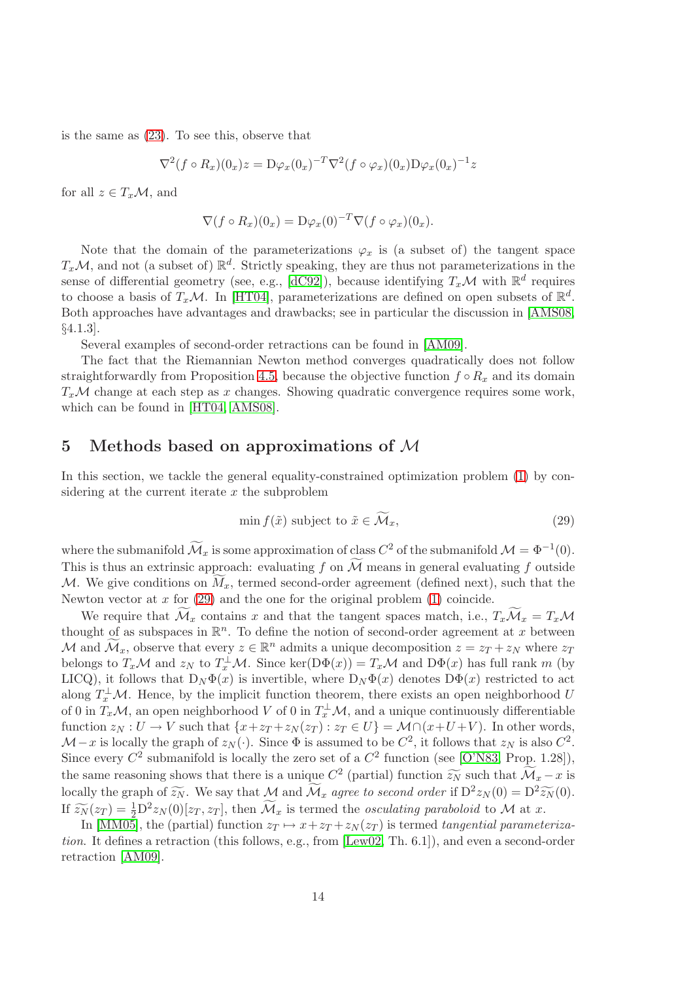is the same as [\(23\)](#page-10-4). To see this, observe that

$$
\nabla^2 (f \circ R_x)(0_x) z = D\varphi_x(0_x)^{-T} \nabla^2 (f \circ \varphi_x)(0_x) D\varphi_x(0_x)^{-1} z
$$

for all  $z \in T_x\mathcal{M}$ , and

$$
\nabla (f \circ R_x)(0_x) = D\varphi_x(0)^{-T} \nabla (f \circ \varphi_x)(0_x).
$$

Note that the domain of the parameterizations  $\varphi_x$  is (a subset of) the tangent space  $T_x\mathcal{M}$ , and not (a subset of)  $\mathbb{R}^d$ . Strictly speaking, they are thus not parameterizations in the sense of differential geometry (see, e.g., [\[dC92\]](#page-21-19)), because identifying  $T_x\mathcal{M}$  with  $\mathbb{R}^d$  requires to choose a basis of  $T_x\mathcal{M}$ . In [\[HT04\]](#page-21-6), parameterizations are defined on open subsets of  $\mathbb{R}^d$ . Both approaches have advantages and drawbacks; see in particular the discussion in [\[AMS08,](#page-21-0) §4.1.3].

Several examples of second-order retractions can be found in [\[AM09\]](#page-21-20).

The fact that the Riemannian Newton method converges quadratically does not follow straightforwardly from Proposition [4.5,](#page-12-2) because the objective function  $f \circ R_x$  and its domain  $T_x\mathcal{M}$  change at each step as x changes. Showing quadratic convergence requires some work, which can be found in [\[HT04,](#page-21-6) [AMS08\]](#page-21-0).

# <span id="page-13-0"></span>5 Methods based on approximations of M

In this section, we tackle the general equality-constrained optimization problem [\(1\)](#page-3-1) by considering at the current iterate  $x$  the subproblem

<span id="page-13-1"></span>
$$
\min f(\tilde{x}) \text{ subject to } \tilde{x} \in \mathcal{M}_x,\tag{29}
$$

where the submanifold  $\mathcal{M}_x$  is some approximation of class  $C^2$  of the submanifold  $\mathcal{M} = \Phi^{-1}(0)$ . This is thus an extrinsic approach: evaluating f on  $\widetilde{\mathcal{M}}$  means in general evaluating f outside M. We give conditions on  $\widetilde{M}_x$ , termed second-order agreement (defined next), such that the Newton vector at  $x$  for  $(29)$  and the one for the original problem  $(1)$  coincide.

We require that  $\mathcal{M}_x$  contains x and that the tangent spaces match, i.e.,  $T_x\mathcal{M}_x = T_x\mathcal{M}_x$ thought of as subspaces in  $\mathbb{R}^n$ . To define the notion of second-order agreement at x between M and  $\widetilde{\mathcal{M}}_x$ , observe that every  $z \in \mathbb{R}^n$  admits a unique decomposition  $z = z_T + z_N$  where  $z_T$ belongs to  $T_x\mathcal{M}$  and  $z_N$  to  $T_x^{\perp}\mathcal{M}$ . Since ker(D $\Phi(x)$ ) =  $T_x\mathcal{M}$  and D $\Phi(x)$  has full rank m (by LICQ), it follows that  $D_N \Phi(x)$  is invertible, where  $D_N \Phi(x)$  denotes  $D\Phi(x)$  restricted to act along  $T_x^{\perp}M$ . Hence, by the implicit function theorem, there exists an open neighborhood U of 0 in  $T_x\mathcal{M}$ , an open neighborhood V of 0 in  $T_x^{\perp}\mathcal{M}$ , and a unique continuously differentiable function  $z_N : U \to V$  such that  $\{x + z_T + z_N(z_T) : z_T \in U\} = \mathcal{M} \cap (x + U + V)$ . In other words,  $\mathcal{M}-x$  is locally the graph of  $z_N(\cdot)$ . Since  $\Phi$  is assumed to be  $C^2$ , it follows that  $z_N$  is also  $C^2$ . Since every  $C^2$  submanifold is locally the zero set of a  $C^2$  function (see [\[O'N83,](#page-22-11) Prop. 1.28]), the same reasoning shows that there is a unique  $C^2$  (partial) function  $\widetilde{z_N}$  such that  $\widetilde{\mathcal{M}}_x - x$  is locally the graph of  $\widetilde{z_N}$ . We say that M and  $\widetilde{\mathcal{M}}_x$  agree to second order if  $D^2 z_N(0) = D^2 \widetilde{z_N}(0)$ . If  $\widetilde{z}_N(z_T) = \frac{1}{2}D^2z_N(0)[z_T, z_T]$ , then  $\widetilde{\mathcal{M}}_x$  is termed the *osculating paraboloid* to  $\mathcal M$  at x.

In [\[MM05\]](#page-22-3), the (partial) function  $z_T \mapsto x+z_T+z_N(z_T)$  is termed tangential parameterization. It defines a retraction (this follows, e.g., from [\[Lew02,](#page-22-2) Th. 6.1]), and even a second-order retraction [\[AM09\]](#page-21-20).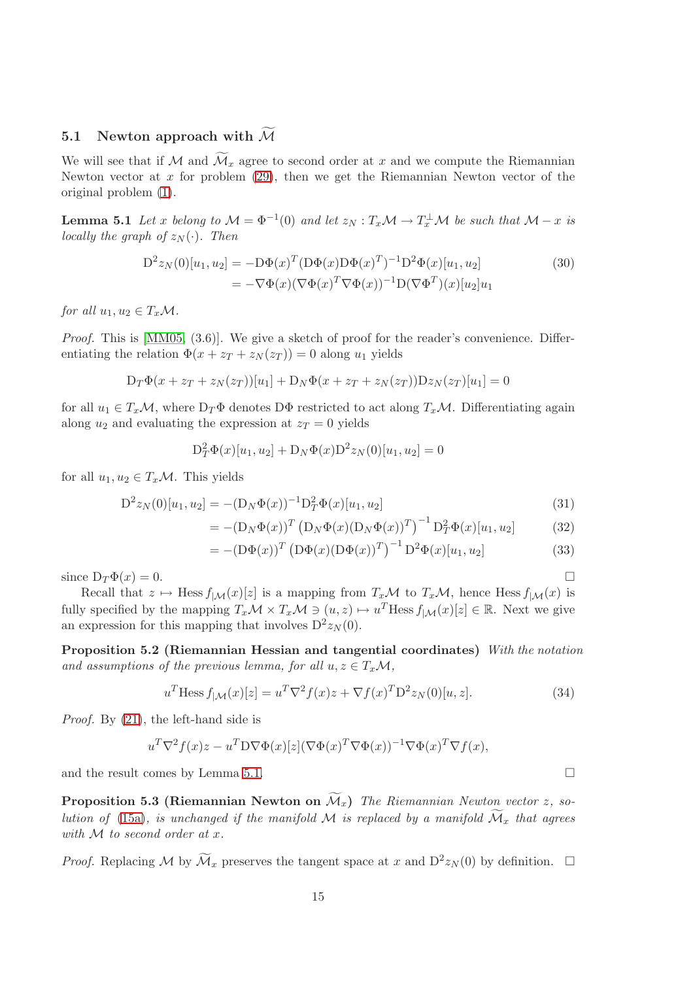# 5.1 Newton approach with  $\widetilde{\mathcal{M}}$

We will see that if M and  $\widetilde{\mathcal{M}}_x$  agree to second order at x and we compute the Riemannian Newton vector at x for problem  $(29)$ , then we get the Riemannian Newton vector of the original problem [\(1\)](#page-3-1).

<span id="page-14-1"></span>**Lemma 5.1** Let x belong to  $\mathcal{M} = \Phi^{-1}(0)$  and let  $z_N : T_x\mathcal{M} \to T_x^{\perp} \mathcal{M}$  be such that  $\mathcal{M} - x$  is locally the graph of  $z_N(\cdot)$ . Then

$$
D^{2}z_{N}(0)[u_{1},u_{2}] = -D\Phi(x)^{T}(D\Phi(x)D\Phi(x)^{T})^{-1}D^{2}\Phi(x)[u_{1},u_{2}]
$$
\n
$$
= -\nabla\Phi(x)(\nabla\Phi(x)^{T}\nabla\Phi(x))^{-1}D(\nabla\Phi^{T})(x)[u_{2}]u_{1}
$$
\n(30)

for all  $u_1, u_2 \in T_x\mathcal{M}$ .

*Proof.* This is  $[MM05, (3.6)]$ . We give a sketch of proof for the reader's convenience. Differentiating the relation  $\Phi(x + z_T + z_N(z_T)) = 0$  along  $u_1$  yields

$$
D_T\Phi(x + z_T + z_N(z_T))[u_1] + D_N\Phi(x + z_T + z_N(z_T))Dz_N(z_T)[u_1] = 0
$$

for all  $u_1 \in T_x\mathcal{M}$ , where  $D_T\Phi$  denotes D $\Phi$  restricted to act along  $T_x\mathcal{M}$ . Differentiating again along  $u_2$  and evaluating the expression at  $z_T = 0$  yields

<span id="page-14-3"></span>
$$
D_T^2 \Phi(x)[u_1, u_2] + D_N \Phi(x) D^2 z_N(0)[u_1, u_2] = 0
$$

for all  $u_1, u_2 \in T_x\mathcal{M}$ . This yields

$$
D^{2}z_{N}(0)[u_{1},u_{2}] = -(D_{N}\Phi(x))^{-1}D_{T}^{2}\Phi(x)[u_{1},u_{2}]
$$
\n(31)

$$
= - (D_N \Phi(x))^T (D_N \Phi(x) (D_N \Phi(x))^T)^{-1} D_T^2 \Phi(x) [u_1, u_2]
$$
 (32)

$$
= -(\mathcal{D}\Phi(x))^T (\mathcal{D}\Phi(x)(\mathcal{D}\Phi(x))^T)^{-1} \mathcal{D}^2 \Phi(x)[u_1, u_2]
$$
\n(33)

since  $D_T \Phi(x) = 0$ .

Recall that  $z \mapsto \text{Hess } f_{|M}(x)[z]$  is a mapping from  $T_x\mathcal{M}$  to  $T_x\mathcal{M}$ , hence Hess  $f_{|M}(x)$  is fully specified by the mapping  $T_x \mathcal{M} \times T_x \mathcal{M} \ni (u, z) \mapsto u^T \text{Hess } f_{|\mathcal{M}}(x)[z] \in \mathbb{R}$ . Next we give an expression for this mapping that involves  $D^2 z_N(0)$ .

Proposition 5.2 (Riemannian Hessian and tangential coordinates) With the notation and assumptions of the previous lemma, for all  $u, z \in T_x\mathcal{M}$ ,

<span id="page-14-0"></span>
$$
u^T \text{Hess } f_{|\mathcal{M}}(x)[z] = u^T \nabla^2 f(x) z + \nabla f(x)^T D^2 z_N(0)[u, z]. \tag{34}
$$

Proof. By [\(21\)](#page-8-2), the left-hand side is

$$
u^T \nabla^2 f(x) z - u^T D \nabla \Phi(x) [z] (\nabla \Phi(x)^T \nabla \Phi(x))^{-1} \nabla \Phi(x)^T \nabla f(x),
$$

and the result comes by Lemma [5.1.](#page-14-1)

**Proposition 5.3 (Riemannian Newton on**  $\widetilde{\mathcal{M}}_x$ ) The Riemannian Newton vector z, so-lution of [\(15a\)](#page-7-2), is unchanged if the manifold M is replaced by a manifold  $\widetilde{\mathcal{M}}_x$  that agrees with M to second order at x.

*Proof.* Replacing M by  $\widetilde{\mathcal{M}}_x$  preserves the tangent space at x and  $D^2 z_N(0)$  by definition.  $\Box$ 

<span id="page-14-2"></span>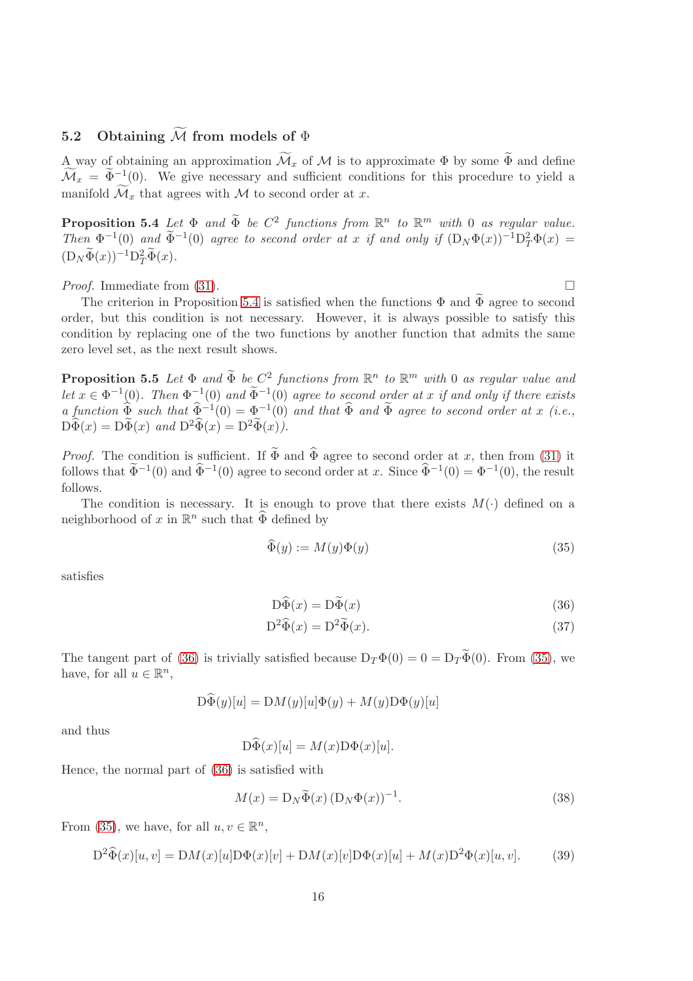# 5.2 Obtaining  $\widetilde{\mathcal{M}}$  from models of  $\Phi$

A way of obtaining an approximation  $\widetilde{\mathcal{M}}_x$  of M is to approximate  $\Phi$  by some  $\widetilde{\Phi}$  and define  $\mathcal{M}_x = \Phi^{-1}(0)$ . We give necessary and sufficient conditions for this procedure to yield a manifold  $\widetilde{\mathcal{M}}_x$  that agrees with M to second order at x.

<span id="page-15-0"></span>**Proposition 5.4** Let  $\Phi$  and  $\widetilde{\Phi}$  be  $C^2$  functions from  $\mathbb{R}^n$  to  $\mathbb{R}^m$  with 0 as regular value. Then  $\Phi^{-1}(0)$  and  $\widetilde{\Phi}^{-1}(0)$  agree to second order at x if and only if  $(D_N\Phi(x))^{-1}D_T^2\Phi(x) =$  $(D_N\widetilde{\Phi}(x))^{-1}D_T^2\widetilde{\Phi}(x).$ 

*Proof.* Immediate from [\(31\)](#page-14-2).

The criterion in Proposition [5.4](#page-15-0) is satisfied when the functions  $\Phi$  and  $\widetilde{\Phi}$  agree to second order, but this condition is not necessary. However, it is always possible to satisfy this condition by replacing one of the two functions by another function that admits the same zero level set, as the next result shows.

**Proposition 5.5** Let  $\Phi$  and  $\widetilde{\Phi}$  be  $C^2$  functions from  $\mathbb{R}^n$  to  $\mathbb{R}^m$  with 0 as regular value and let  $x \in \Phi^{-1}(0)$ . Then  $\Phi^{-1}(0)$  and  $\widetilde{\Phi}^{-1}(0)$  agree to second order at x if and only if there exists a function  $\widehat{\Phi}$  such that  $\widehat{\Phi}^{-1}(0) = \Phi^{-1}(0)$  and that  $\widehat{\Phi}$  and  $\Phi$  agree to second order at x (i.e.,  $\widehat{\mathrm{D}\Phi}(x) = \widehat{\mathrm{D}\Phi}(x)$  and  $\widehat{\mathrm{D}^2\Phi}(x) = \widehat{\mathrm{D}^2\Phi}(x)$ .

*Proof.* The condition is sufficient. If  $\widetilde{\Phi}$  and  $\widehat{\Phi}$  agree to second order at x, then from [\(31\)](#page-14-2) it follows that  $\tilde{\Phi}^{-1}(0)$  and  $\hat{\Phi}^{-1}(0)$  agree to second order at x. Since  $\hat{\Phi}^{-1}(0) = \Phi^{-1}(0)$ , the result follows.

The condition is necessary. It is enough to prove that there exists  $M(\cdot)$  defined on a neighborhood of x in  $\mathbb{R}^n$  such that  $\widehat{\Phi}$  defined by

<span id="page-15-2"></span>
$$
\widehat{\Phi}(y) := M(y)\Phi(y) \tag{35}
$$

satisfies

<span id="page-15-3"></span><span id="page-15-1"></span>
$$
D\widetilde{\Phi}(x) = D\widetilde{\Phi}(x) \tag{36}
$$

$$
D^2 \widehat{\Phi}(x) = D^2 \widetilde{\Phi}(x). \tag{37}
$$

The tangent part of [\(36\)](#page-15-1) is trivially satisfied because  $D_T \Phi(0) = 0 = D_T \widetilde{\Phi}(0)$ . From [\(35\)](#page-15-2), we have, for all  $u \in \mathbb{R}^n$ ,

$$
\mathcal{D}\widehat{\Phi}(y)[u] = \mathcal{D}M(y)[u]\Phi(y) + M(y)\mathcal{D}\Phi(y)[u]
$$

and thus

$$
\mathcal{D}\widehat{\Phi}(x)[u] = M(x)\mathcal{D}\Phi(x)[u].
$$

Hence, the normal part of [\(36\)](#page-15-1) is satisfied with

<span id="page-15-4"></span>
$$
M(x) = \mathcal{D}_N \widetilde{\Phi}(x) \left( \mathcal{D}_N \Phi(x) \right)^{-1}.
$$
 (38)

From [\(35\)](#page-15-2), we have, for all  $u, v \in \mathbb{R}^n$ ,

$$
D^{2}\hat{\Phi}(x)[u,v] = DM(x)[u]D\Phi(x)[v] + DM(x)[v]D\Phi(x)[u] + M(x)D^{2}\Phi(x)[u,v].
$$
 (39)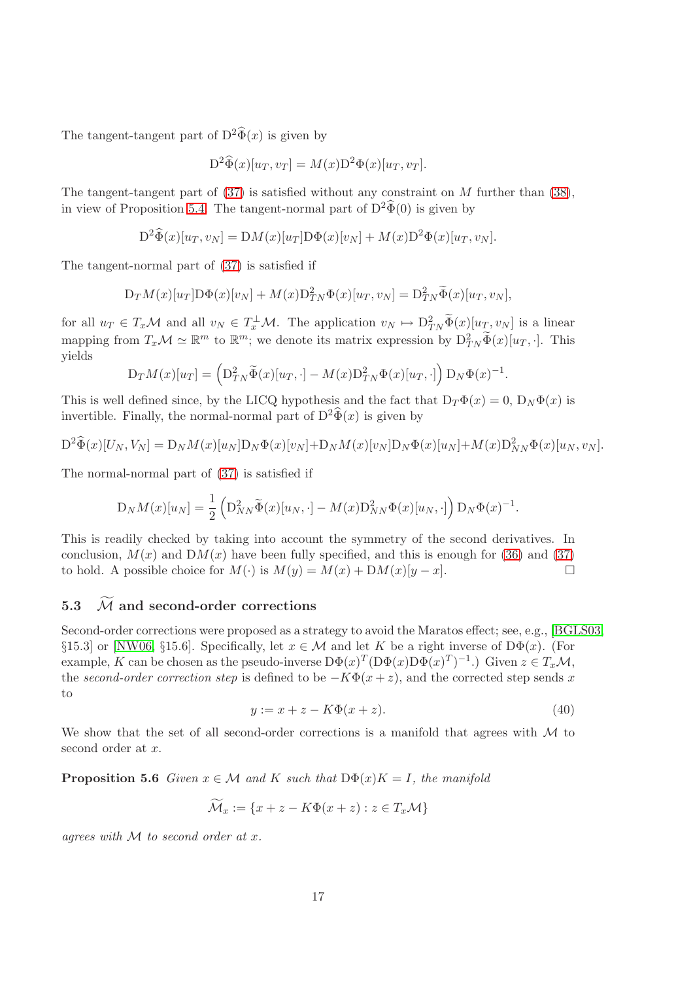The tangent-tangent part of  $D^2\hat{\Phi}(x)$  is given by

$$
D^{2}\widehat{\Phi}(x)[u_{T},v_{T}] = M(x)D^{2}\Phi(x)[u_{T},v_{T}].
$$

The tangent-tangent part of  $(37)$  is satisfied without any constraint on M further than  $(38)$ . in view of Proposition [5.4.](#page-15-0) The tangent-normal part of  $D^2\hat{\Phi}(0)$  is given by

$$
D^{2}\widehat{\Phi}(x)[u_{T},v_{N}] = DM(x)[u_{T}]D\Phi(x)[v_{N}] + M(x)D^{2}\Phi(x)[u_{T},v_{N}].
$$

The tangent-normal part of [\(37\)](#page-15-3) is satisfied if

$$
D_T M(x)[u_T] D\Phi(x)[v_N] + M(x) D_{TN}^2 \Phi(x)[u_T, v_N] = D_{TN}^2 \widetilde{\Phi}(x)[u_T, v_N],
$$

for all  $u_T \in T_x\mathcal{M}$  and all  $v_N \in T_x^{\perp}\mathcal{M}$ . The application  $v_N \mapsto D_{TN}^2\tilde{\Phi}(x)[u_T, v_N]$  is a linear mapping from  $T_x \mathcal{M} \simeq \mathbb{R}^m$  to  $\mathbb{R}^m$ ; we denote its matrix expression by  $D_{TN}^2 \widetilde{\Phi}(x)[u_T, \cdot]$ . This yields

$$
D_T M(x)[u_T] = \left(D_{TN}^2 \widetilde{\Phi}(x)[u_T, \cdot] - M(x) D_{TN}^2 \Phi(x)[u_T, \cdot]\right) D_N \Phi(x)^{-1}.
$$

This is well defined since, by the LICQ hypothesis and the fact that  $D_T \Phi(x) = 0$ ,  $D_N \Phi(x)$  is invertible. Finally, the normal-normal part of  $D^2\hat{\Phi}(x)$  is given by

$$
D^{2}\widehat{\Phi}(x)[U_{N},V_{N}]=D_{N}M(x)[u_{N}]D_{N}\Phi(x)[v_{N}]+D_{N}M(x)[v_{N}]D_{N}\Phi(x)[u_{N}]+M(x)D_{NN}^{2}\Phi(x)[u_{N},v_{N}].
$$

The normal-normal part of [\(37\)](#page-15-3) is satisfied if

$$
D_N M(x)[u_N] = \frac{1}{2} \left( D_{NN}^2 \widetilde{\Phi}(x)[u_N, \cdot] - M(x) D_{NN}^2 \Phi(x)[u_N, \cdot] \right) D_N \Phi(x)^{-1}.
$$

This is readily checked by taking into account the symmetry of the second derivatives. In conclusion,  $M(x)$  and  $DM(x)$  have been fully specified, and this is enough for [\(36\)](#page-15-1) and [\(37\)](#page-15-3) to hold. A possible choice for  $M(\cdot)$  is  $M(y) = M(x) + DM(x)[y - x]$ .

# 5.3  $\overline{M}$  and second-order corrections

Second-order corrections were proposed as a strategy to avoid the Maratos effect; see, e.g., [\[BGLS03,](#page-21-15) §15.3] or [\[NW06,](#page-22-8) §15.6]. Specifically, let  $x \in \mathcal{M}$  and let K be a right inverse of D $\Phi(x)$ . (For example, K can be chosen as the pseudo-inverse  $D\Phi(x)^T(D\Phi(x)D\Phi(x)^T)^{-1}$ .) Given  $z \in T_x\mathcal{M}$ , the second-order correction step is defined to be  $-K\Phi(x+z)$ , and the corrected step sends x to

<span id="page-16-0"></span>
$$
y := x + z - K\Phi(x + z). \tag{40}
$$

We show that the set of all second-order corrections is a manifold that agrees with M to second order at x.

**Proposition 5.6** Given  $x \in \mathcal{M}$  and K such that  $D\Phi(x)K = I$ , the manifold

$$
\mathcal{M}_x := \{ x + z - K\Phi(x + z) : z \in T_x \mathcal{M} \}
$$

agrees with  $M$  to second order at x.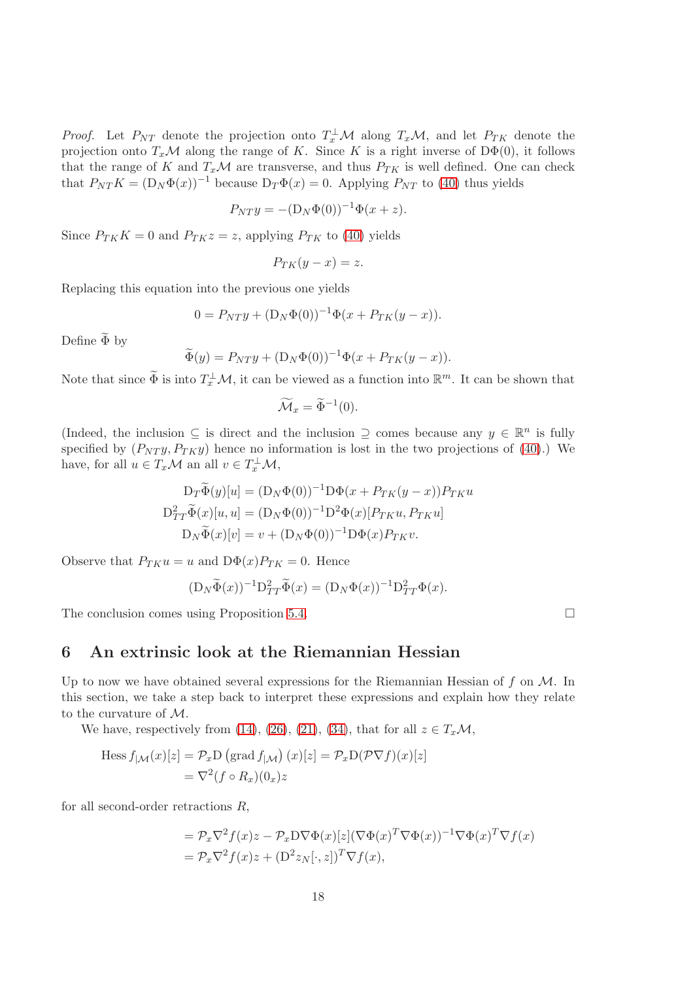*Proof.* Let  $P_{NT}$  denote the projection onto  $T_x^{\perp}M$  along  $T_xM$ , and let  $P_{TK}$  denote the projection onto  $T_x\mathcal{M}$  along the range of K. Since K is a right inverse of  $D\Phi(0)$ , it follows that the range of K and  $T_x\mathcal{M}$  are transverse, and thus  $P_{TK}$  is well defined. One can check that  $P_{NT} K = (D_N \Phi(x))^{-1}$  because  $D_T \Phi(x) = 0$ . Applying  $P_{NT}$  to [\(40\)](#page-16-0) thus yields

$$
P_{NT}y = - (D_N\Phi(0))^{-1}\Phi(x+z).
$$

Since  $P_{TK}K = 0$  and  $P_{TK}z = z$ , applying  $P_{TK}$  to [\(40\)](#page-16-0) yields

$$
P_{TK}(y-x) = z.
$$

Replacing this equation into the previous one yields

$$
0 = P_{NT}y + (D_N\Phi(0))^{-1}\Phi(x + P_{TK}(y - x)).
$$

Define  $\widetilde{\Phi}$  by

$$
\widetilde{\Phi}(y) = P_{NT}y + (D_N\Phi(0))^{-1}\Phi(x + P_{TK}(y - x)).
$$

Note that since  $\widetilde{\Phi}$  is into  $T_x^{\perp}M$ , it can be viewed as a function into  $\mathbb{R}^m$ . It can be shown that

$$
\widetilde{\mathcal{M}}_x = \widetilde{\Phi}^{-1}(0).
$$

(Indeed, the inclusion  $\subseteq$  is direct and the inclusion  $\supseteq$  comes because any  $y \in \mathbb{R}^n$  is fully specified by  $(P_{NT}y, P_{TK}y)$  hence no information is lost in the two projections of [\(40\)](#page-16-0).) We have, for all  $u \in T_x\mathcal{M}$  an all  $v \in T_x^{\perp}\mathcal{M}$ ,

$$
D_T \widetilde{\Phi}(y)[u] = (D_N \Phi(0))^{-1} D\Phi(x + P_{TK}(y - x)) P_{TK} u
$$
  

$$
D_{TT}^2 \widetilde{\Phi}(x)[u, u] = (D_N \Phi(0))^{-1} D^2 \Phi(x) [P_{TK} u, P_{TK} u]
$$
  

$$
D_N \widetilde{\Phi}(x)[v] = v + (D_N \Phi(0))^{-1} D\Phi(x) P_{TK} v.
$$

Observe that  $P_{TK}u = u$  and  $D\Phi(x)P_{TK} = 0$ . Hence

$$
(\mathcal{D}_N \widetilde{\Phi}(x))^{-1} \mathcal{D}_{TT}^2 \widetilde{\Phi}(x) = (\mathcal{D}_N \Phi(x))^{-1} \mathcal{D}_{TT}^2 \Phi(x).
$$

The conclusion comes using Proposition [5.4.](#page-15-0)  $\Box$ 

# <span id="page-17-0"></span>6 An extrinsic look at the Riemannian Hessian

Up to now we have obtained several expressions for the Riemannian Hessian of  $f$  on  $M$ . In this section, we take a step back to interpret these expressions and explain how they relate to the curvature of M.

We have, respectively from [\(14\)](#page-7-5), [\(26\)](#page-10-6), [\(21\)](#page-8-2), [\(34\)](#page-14-0), that for all  $z \in T_x\mathcal{M}$ ,

Hess 
$$
f_{|\mathcal{M}}(x)[z] = \mathcal{P}_x D \left(\text{grad } f_{|\mathcal{M}}\right)(x)[z] = \mathcal{P}_x D(\mathcal{P}\nabla f)(x)[z]
$$
  
=  $\nabla^2 (f \circ R_x)(0_x) z$ 

for all second-order retractions R,

$$
= \mathcal{P}_x \nabla^2 f(x) z - \mathcal{P}_x D \nabla \Phi(x) [z] (\nabla \Phi(x)^T \nabla \Phi(x))^{-1} \nabla \Phi(x)^T \nabla f(x)
$$
  
=  $\mathcal{P}_x \nabla^2 f(x) z + (D^2 z_N [\cdot, z])^T \nabla f(x),$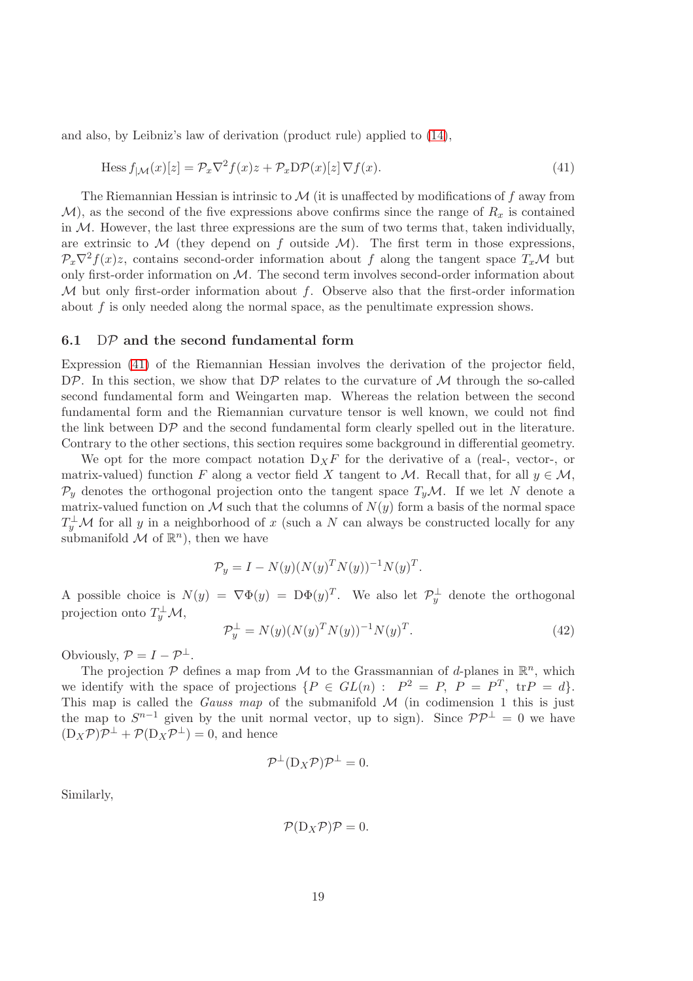and also, by Leibniz's law of derivation (product rule) applied to [\(14\)](#page-7-5),

<span id="page-18-0"></span>
$$
\text{Hess } f_{|\mathcal{M}}(x)[z] = \mathcal{P}_x \nabla^2 f(x) z + \mathcal{P}_x \text{D} \mathcal{P}(x)[z] \nabla f(x). \tag{41}
$$

The Riemannian Hessian is intrinsic to  $\mathcal M$  (it is unaffected by modifications of f away from  $\mathcal{M}$ ), as the second of the five expressions above confirms since the range of  $R_x$  is contained in  $M$ . However, the last three expressions are the sum of two terms that, taken individually, are extrinsic to  $M$  (they depend on f outside  $M$ ). The first term in those expressions,  $\mathcal{P}_x\nabla^2 f(x)z$ , contains second-order information about f along the tangent space  $T_x\mathcal{M}$  but only first-order information on M. The second term involves second-order information about M but only first-order information about f. Observe also that the first-order information about f is only needed along the normal space, as the penultimate expression shows.

#### <span id="page-18-1"></span>6.1  $DP$  and the second fundamental form

Expression [\(41\)](#page-18-0) of the Riemannian Hessian involves the derivation of the projector field, DP. In this section, we show that  $D\mathcal{P}$  relates to the curvature of  $\mathcal M$  through the so-called second fundamental form and Weingarten map. Whereas the relation between the second fundamental form and the Riemannian curvature tensor is well known, we could not find the link between DP and the second fundamental form clearly spelled out in the literature. Contrary to the other sections, this section requires some background in differential geometry.

We opt for the more compact notation  $D_XF$  for the derivative of a (real-, vector-, or matrix-valued) function F along a vector field X tangent to M. Recall that, for all  $y \in M$ ,  $\mathcal{P}_y$  denotes the orthogonal projection onto the tangent space  $T_y\mathcal{M}$ . If we let N denote a matrix-valued function on M such that the columns of  $N(y)$  form a basis of the normal space  $T_y^{\perp}$ *M* for all *y* in a neighborhood of *x* (such a *N* can always be constructed locally for any submanifold  $\mathcal M$  of  $\mathbb{R}^n$ , then we have

$$
\mathcal{P}_y = I - N(y) (N(y)^T N(y))^{-1} N(y)^T.
$$

A possible choice is  $N(y) = \nabla \Phi(y) = D\Phi(y)^T$ . We also let  $\mathcal{P}_y^{\perp}$  denote the orthogonal projection onto  $T_y^{\perp} \mathcal{M},$ 

<span id="page-18-2"></span>
$$
\mathcal{P}_y^{\perp} = N(y)(N(y)^T N(y))^{-1} N(y)^T.
$$
\n(42)

Obviously,  $\mathcal{P} = I - \mathcal{P}^{\perp}$ .

The projection  $P$  defines a map from  $M$  to the Grassmannian of d-planes in  $\mathbb{R}^n$ , which we identify with the space of projections  $\{P \in GL(n) : P^2 = P, P = P^T, \text{tr}P = d\}.$ This map is called the *Gauss map* of the submanifold  $M$  (in codimension 1 this is just the map to  $S^{n-1}$  given by the unit normal vector, up to sign). Since  $\mathcal{PP}^{\perp} = 0$  we have  $(D_X \mathcal{P}) \mathcal{P}^{\perp} + \mathcal{P}(D_X \mathcal{P}^{\perp}) = 0$ , and hence

$$
\mathcal{P}^{\perp}(D_X \mathcal{P}) \mathcal{P}^{\perp} = 0.
$$

Similarly,

$$
\mathcal{P}(\mathcal{D}_X \mathcal{P}) \mathcal{P} = 0.
$$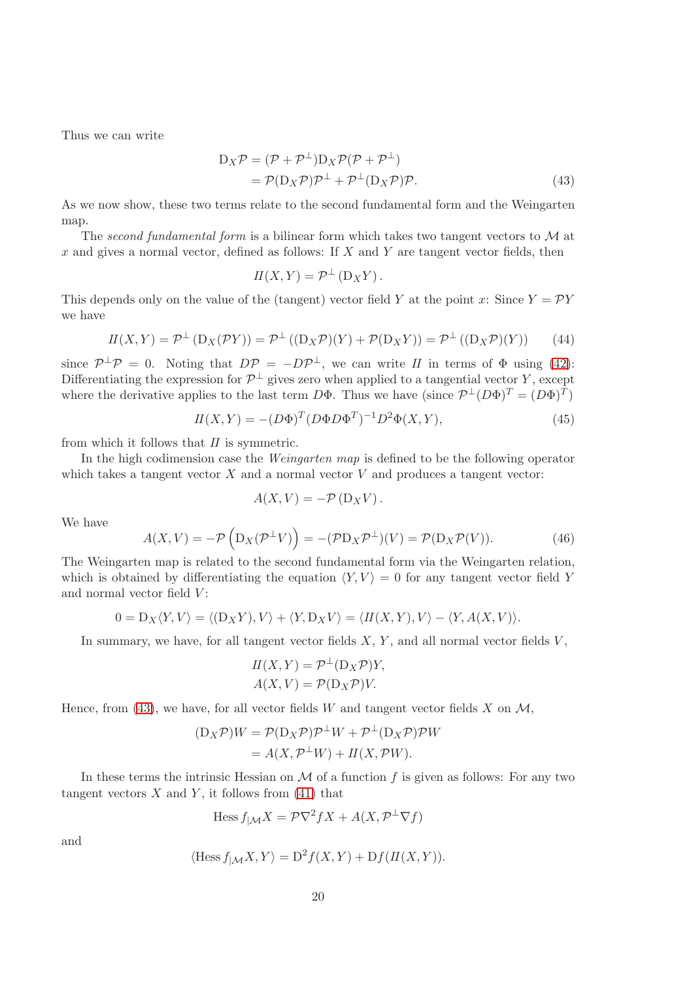Thus we can write

$$
D_X \mathcal{P} = (\mathcal{P} + \mathcal{P}^{\perp}) D_X \mathcal{P} (\mathcal{P} + \mathcal{P}^{\perp})
$$
  
=  $\mathcal{P}(D_X \mathcal{P}) \mathcal{P}^{\perp} + \mathcal{P}^{\perp} (D_X \mathcal{P}) \mathcal{P}.$  (43)

As we now show, these two terms relate to the second fundamental form and the Weingarten map.

The second fundamental form is a bilinear form which takes two tangent vectors to  $\mathcal M$  at  $x$  and gives a normal vector, defined as follows: If  $X$  and  $Y$  are tangent vector fields, then

<span id="page-19-0"></span>
$$
II(X,Y) = \mathcal{P}^{\perp}(\mathcal{D}_X Y).
$$

This depends only on the value of the (tangent) vector field Y at the point x: Since  $Y = \mathcal{P}Y$ we have

$$
II(X,Y) = \mathcal{P}^{\perp} (D_X(\mathcal{P}Y)) = \mathcal{P}^{\perp} ((D_X \mathcal{P})(Y) + \mathcal{P}(D_X Y)) = \mathcal{P}^{\perp} ((D_X \mathcal{P})(Y))
$$
(44)

since  $\mathcal{P}^{\perp}\mathcal{P} = 0$ . Noting that  $D\mathcal{P} = -D\mathcal{P}^{\perp}$ , we can write II in terms of  $\Phi$  using [\(42\)](#page-18-2): Differentiating the expression for  $\mathcal{P}^{\perp}$  gives zero when applied to a tangential vector Y, except where the derivative applies to the last term  $D\Phi$ . Thus we have  $(\text{since } \mathcal{P}^{\perp}(D\Phi)^{T} = (D\Phi)^{T})$ 

<span id="page-19-1"></span>
$$
II(X,Y) = -(D\Phi)^T (D\Phi D\Phi^T)^{-1} D^2 \Phi(X,Y), \qquad (45)
$$

from which it follows that  $II$  is symmetric.

In the high codimension case the Weingarten map is defined to be the following operator which takes a tangent vector  $X$  and a normal vector  $V$  and produces a tangent vector:

$$
A(X,V) = -\mathcal{P}(\mathcal{D}_X V).
$$

We have

$$
A(X,V) = -\mathcal{P}\left(\mathcal{D}_X(\mathcal{P}^\perp V)\right) = -(\mathcal{P}\mathcal{D}_X\mathcal{P}^\perp)(V) = \mathcal{P}(\mathcal{D}_X\mathcal{P}(V)).\tag{46}
$$

The Weingarten map is related to the second fundamental form via the Weingarten relation, which is obtained by differentiating the equation  $\langle Y, V \rangle = 0$  for any tangent vector field Y and normal vector field  $V$ :

$$
0 = D_X \langle Y, V \rangle = \langle (D_X Y), V \rangle + \langle Y, D_X V \rangle = \langle H(X, Y), V \rangle - \langle Y, A(X, V) \rangle.
$$

In summary, we have, for all tangent vector fields  $X, Y$ , and all normal vector fields  $V$ ,

$$
II(X, Y) = \mathcal{P}^{\perp}(D_X \mathcal{P})Y,
$$
  

$$
A(X, V) = \mathcal{P}(D_X \mathcal{P})V.
$$

Hence, from [\(43\)](#page-19-0), we have, for all vector fields W and tangent vector fields X on  $\mathcal{M}$ ,

$$
(D_X \mathcal{P})W = \mathcal{P}(D_X \mathcal{P})\mathcal{P}^{\perp}W + \mathcal{P}^{\perp}(D_X \mathcal{P})\mathcal{P}W
$$
  
=  $A(X, \mathcal{P}^{\perp}W) + H(X, \mathcal{P}W).$ 

In these terms the intrinsic Hessian on  $\mathcal M$  of a function f is given as follows: For any two tangent vectors  $X$  and  $Y$ , it follows from [\(41\)](#page-18-0) that

$$
\text{Hess}\, f_{|\mathcal{M}}X = \mathcal{P}\nabla^2 fX + A(X, \mathcal{P}^\perp \nabla f)
$$

and

$$
\langle \text{Hess } f_{|M} X, Y \rangle = D^2 f(X, Y) + Df(H(X, Y)).
$$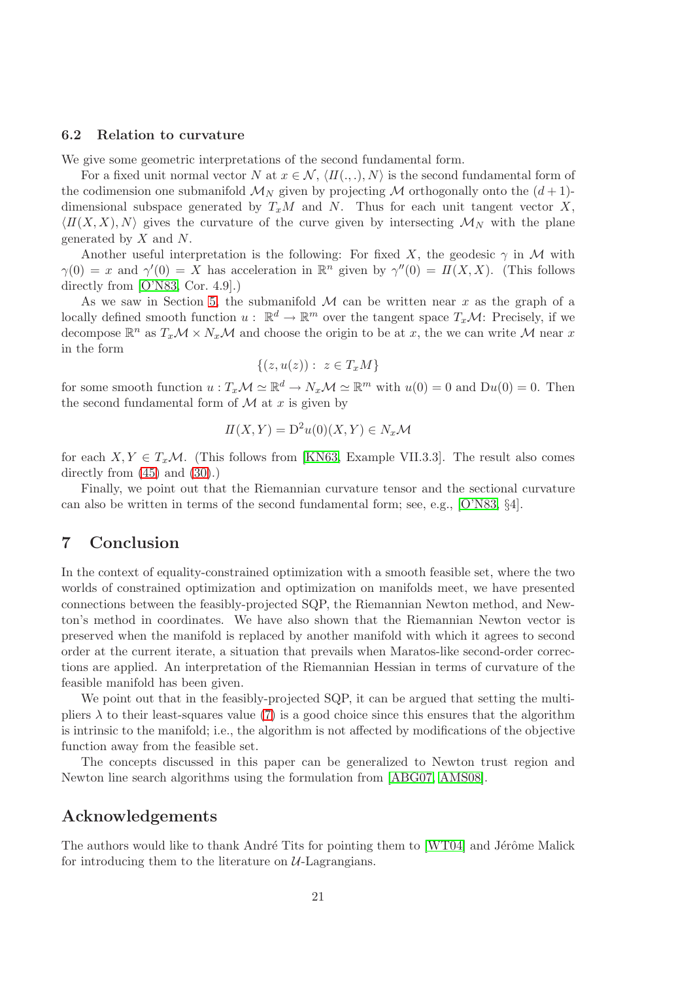#### 6.2 Relation to curvature

We give some geometric interpretations of the second fundamental form.

For a fixed unit normal vector N at  $x \in \mathcal{N}, \langle H(.,.), N \rangle$  is the second fundamental form of the codimension one submanifold  $\mathcal{M}_N$  given by projecting  $\mathcal M$  orthogonally onto the  $(d+1)$ dimensional subspace generated by  $T_xM$  and N. Thus for each unit tangent vector X,  $\langle I(I(X, X), N \rangle)$  gives the curvature of the curve given by intersecting  $\mathcal{M}_N$  with the plane generated by  $X$  and  $N$ .

Another useful interpretation is the following: For fixed X, the geodesic  $\gamma$  in M with  $\gamma(0) = x$  and  $\gamma'(0) = X$  has acceleration in  $\mathbb{R}^n$  given by  $\gamma''(0) = \Pi(X, X)$ . (This follows directly from [\[O'N83,](#page-22-11) Cor. 4.9].)

As we saw in Section [5,](#page-13-0) the submanifold  $\mathcal M$  can be written near x as the graph of a locally defined smooth function  $u: \mathbb{R}^d \to \mathbb{R}^m$  over the tangent space  $T_x\mathcal{M}$ : Precisely, if we decompose  $\mathbb{R}^n$  as  $T_x\mathcal{M} \times N_x\mathcal{M}$  and choose the origin to be at x, the we can write M near x in the form

$$
\{(z, u(z)) : z \in T_xM\}
$$

for some smooth function  $u: T_x \mathcal{M} \simeq \mathbb{R}^d \to N_x \mathcal{M} \simeq \mathbb{R}^m$  with  $u(0) = 0$  and  $Du(0) = 0$ . Then the second fundamental form of  $\mathcal M$  at x is given by

$$
II(X,Y) = D2u(0)(X,Y) \in N_x\mathcal{M}
$$

for each  $X, Y \in T_x\mathcal{M}$ . (This follows from [\[KN63,](#page-21-21) Example VII.3.3]. The result also comes directly from  $(45)$  and  $(30)$ .)

Finally, we point out that the Riemannian curvature tensor and the sectional curvature can also be written in terms of the second fundamental form; see, e.g., [\[O'N83,](#page-22-11) §4].

# 7 Conclusion

In the context of equality-constrained optimization with a smooth feasible set, where the two worlds of constrained optimization and optimization on manifolds meet, we have presented connections between the feasibly-projected SQP, the Riemannian Newton method, and Newton's method in coordinates. We have also shown that the Riemannian Newton vector is preserved when the manifold is replaced by another manifold with which it agrees to second order at the current iterate, a situation that prevails when Maratos-like second-order corrections are applied. An interpretation of the Riemannian Hessian in terms of curvature of the feasible manifold has been given.

We point out that in the feasibly-projected SQP, it can be argued that setting the multipliers  $\lambda$  to their least-squares value [\(7\)](#page-5-7) is a good choice since this ensures that the algorithm is intrinsic to the manifold; i.e., the algorithm is not affected by modifications of the objective function away from the feasible set.

The concepts discussed in this paper can be generalized to Newton trust region and Newton line search algorithms using the formulation from [\[ABG07,](#page-21-18) [AMS08\]](#page-21-0).

## Acknowledgements

The authors would like to thank André Tits for pointing them to  $[WT04]$  and Jérôme Malick for introducing them to the literature on  $U$ -Lagrangians.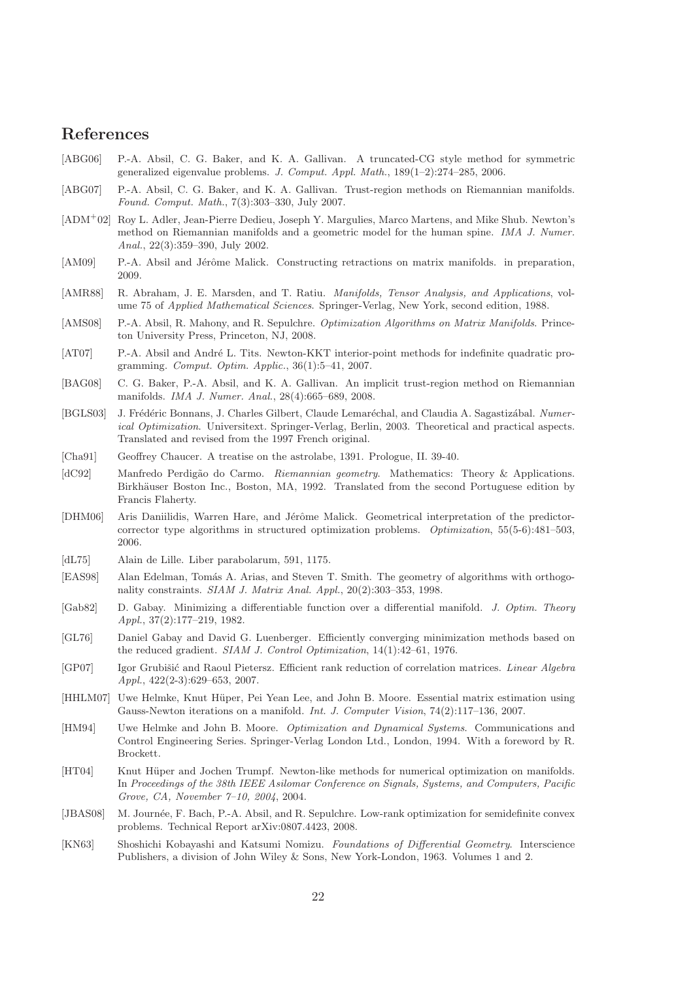# References

- <span id="page-21-7"></span>[ABG06] P.-A. Absil, C. G. Baker, and K. A. Gallivan. A truncated-CG style method for symmetric generalized eigenvalue problems. J. Comput. Appl. Math., 189(1–2):274–285, 2006.
- <span id="page-21-18"></span>[ABG07] P.-A. Absil, C. G. Baker, and K. A. Gallivan. Trust-region methods on Riemannian manifolds. Found. Comput. Math., 7(3):303–330, July 2007.
- <span id="page-21-5"></span>[ADM<sup>+</sup>02] Roy L. Adler, Jean-Pierre Dedieu, Joseph Y. Margulies, Marco Martens, and Mike Shub. Newton's method on Riemannian manifolds and a geometric model for the human spine. IMA J. Numer. Anal., 22(3):359–390, July 2002.
- <span id="page-21-20"></span>[AM09] P.-A. Absil and Jérôme Malick. Constructing retractions on matrix manifolds. in preparation, 2009.
- <span id="page-21-16"></span>[AMR88] R. Abraham, J. E. Marsden, and T. Ratiu. *Manifolds, Tensor Analysis, and Applications*, volume 75 of Applied Mathematical Sciences. Springer-Verlag, New York, second edition, 1988.
- <span id="page-21-0"></span>[AMS08] P.-A. Absil, R. Mahony, and R. Sepulchre. Optimization Algorithms on Matrix Manifolds. Princeton University Press, Princeton, NJ, 2008.
- <span id="page-21-17"></span>[AT07] P.-A. Absil and André L. Tits. Newton-KKT interior-point methods for indefinite quadratic programming. Comput. Optim. Applic., 36(1):5–41, 2007.
- <span id="page-21-8"></span>[BAG08] C. G. Baker, P.-A. Absil, and K. A. Gallivan. An implicit trust-region method on Riemannian manifolds. IMA J. Numer. Anal., 28(4):665–689, 2008.
- <span id="page-21-15"></span>[BGLS03] J. Frédéric Bonnans, J. Charles Gilbert, Claude Lemaréchal, and Claudia A. Sagastizábal. Numerical Optimization. Universitext. Springer-Verlag, Berlin, 2003. Theoretical and practical aspects. Translated and revised from the 1997 French original.
- <span id="page-21-14"></span>[Cha91] Geoffrey Chaucer. A treatise on the astrolabe, 1391. Prologue, II. 39-40.
- <span id="page-21-19"></span>[dC92] Manfredo Perdigão do Carmo. Riemannian geometry. Mathematics: Theory & Applications. Birkhäuser Boston Inc., Boston, MA, 1992. Translated from the second Portuguese edition by Francis Flaherty.
- <span id="page-21-12"></span>[DHM06] Aris Daniilidis, Warren Hare, and Jérôme Malick. Geometrical interpretation of the predictorcorrector type algorithms in structured optimization problems. Optimization, 55(5-6):481–503, 2006.
- <span id="page-21-13"></span>[dL75] Alain de Lille. Liber parabolarum, 591, 1175.
- <span id="page-21-4"></span>[EAS98] Alan Edelman, Tomás A. Arias, and Steven T. Smith. The geometry of algorithms with orthogonality constraints. SIAM J. Matrix Anal. Appl., 20(2):303–353, 1998.
- <span id="page-21-2"></span>[Gab82] D. Gabay. Minimizing a differentiable function over a differential manifold. J. Optim. Theory Appl., 37(2):177–219, 1982.
- <span id="page-21-1"></span>[GL76] Daniel Gabay and David G. Luenberger. Efficiently converging minimization methods based on the reduced gradient. SIAM J. Control Optimization, 14(1):42–61, 1976.
- <span id="page-21-9"></span>[GP07] Igor Grubišić and Raoul Pietersz. Efficient rank reduction of correlation matrices. Linear Algebra Appl., 422(2-3):629–653, 2007.
- <span id="page-21-11"></span>[HHLM07] Uwe Helmke, Knut Hüper, Pei Yean Lee, and John B. Moore. Essential matrix estimation using Gauss-Newton iterations on a manifold. Int. J. Computer Vision, 74(2):117–136, 2007.
- <span id="page-21-3"></span>[HM94] Uwe Helmke and John B. Moore. Optimization and Dynamical Systems. Communications and Control Engineering Series. Springer-Verlag London Ltd., London, 1994. With a foreword by R. Brockett.
- <span id="page-21-6"></span>[HT04] Knut Hüper and Jochen Trumpf. Newton-like methods for numerical optimization on manifolds. In Proceedings of the 38th IEEE Asilomar Conference on Signals, Systems, and Computers, Pacific Grove, CA, November 7–10, 2004, 2004.
- <span id="page-21-10"></span>[JBAS08] M. Journée, F. Bach, P.-A. Absil, and R. Sepulchre. Low-rank optimization for semidefinite convex problems. Technical Report arXiv:0807.4423, 2008.
- <span id="page-21-21"></span>[KN63] Shoshichi Kobayashi and Katsumi Nomizu. Foundations of Differential Geometry. Interscience Publishers, a division of John Wiley & Sons, New York-London, 1963. Volumes 1 and 2.